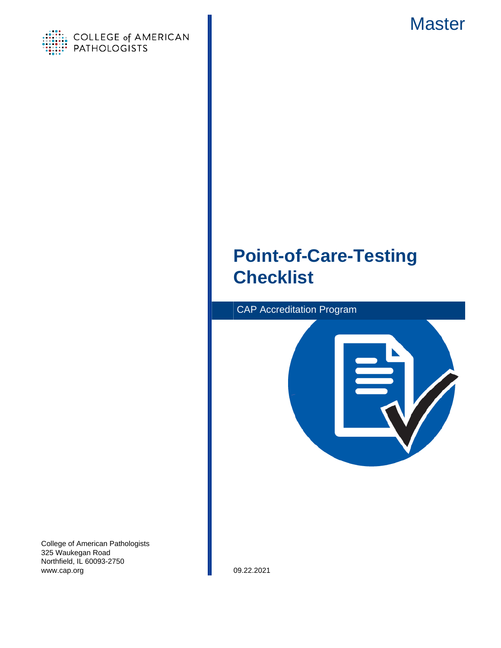

<span id="page-0-0"></span>

# **Point-of-Care-Testing Checklist**





College of American Pathologists 325 Waukegan Road Northfield, IL 60093-2750 www.cap.org 09.22.2021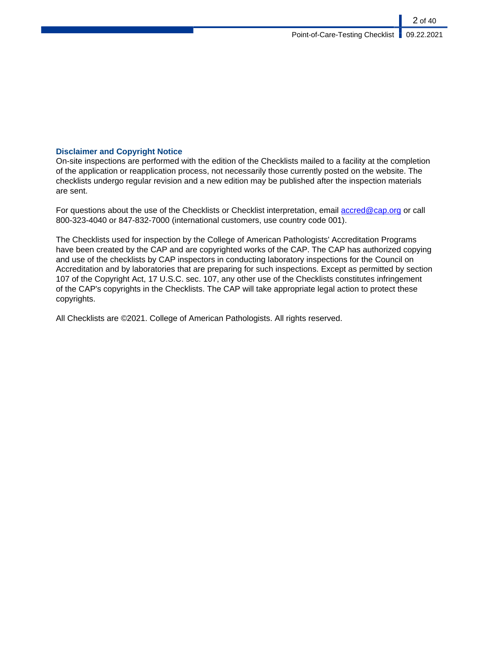### **Disclaimer and Copyright Notice**

On-site inspections are performed with the edition of the Checklists mailed to a facility at the completion of the application or reapplication process, not necessarily those currently posted on the website. The checklists undergo regular revision and a new edition may be published after the inspection materials are sent.

For questions about the use of the Checklists or Checklist interpretation, email [accred@cap.org](mailto:accred@cap.org) or call 800-323-4040 or 847-832-7000 (international customers, use country code 001).

The Checklists used for inspection by the College of American Pathologists' Accreditation Programs have been created by the CAP and are copyrighted works of the CAP. The CAP has authorized copying and use of the checklists by CAP inspectors in conducting laboratory inspections for the Council on Accreditation and by laboratories that are preparing for such inspections. Except as permitted by section 107 of the Copyright Act, 17 U.S.C. sec. 107, any other use of the Checklists constitutes infringement of the CAP's copyrights in the Checklists. The CAP will take appropriate legal action to protect these copyrights.

All Checklists are ©2021. College of American Pathologists. All rights reserved.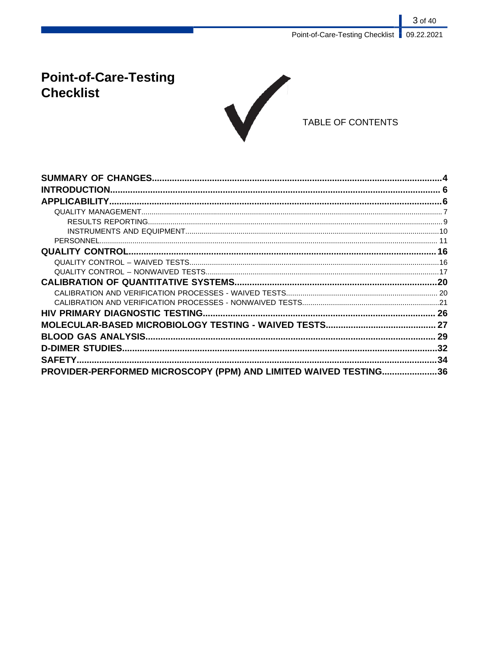# **Point-of-Care-Testing Checklist**



## TABLE OF CONTENTS

| PROVIDER-PERFORMED MICROSCOPY (PPM) AND LIMITED WAIVED TESTING36 |  |
|------------------------------------------------------------------|--|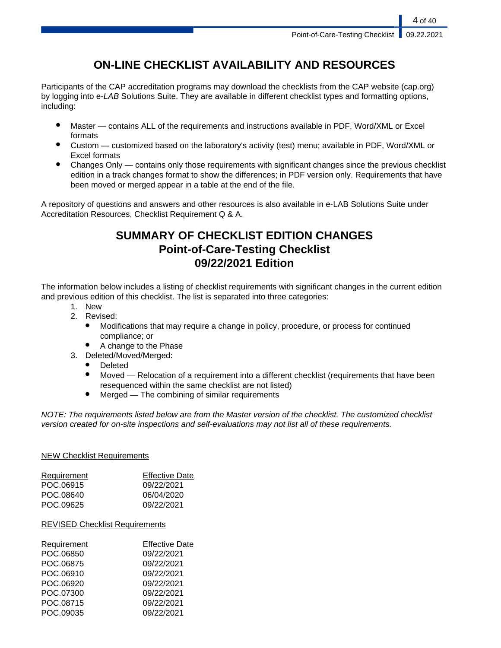# **ON-LINE CHECKLIST AVAILABILITY AND RESOURCES**

Participants of the CAP accreditation programs may download the checklists from the CAP website (cap.org) by logging into e-LAB Solutions Suite. They are available in different checklist types and formatting options, including:

- Master contains ALL of the requirements and instructions available in PDF, Word/XML or Excel formats
- Custom customized based on the laboratory's activity (test) menu; available in PDF, Word/XML or Excel formats
- Changes Only contains only those requirements with significant changes since the previous checklist edition in a track changes format to show the differences; in PDF version only. Requirements that have been moved or merged appear in a table at the end of the file.

A repository of questions and answers and other resources is also available in e-LAB Solutions Suite under Accreditation Resources, Checklist Requirement Q & A.

# **SUMMARY OF CHECKLIST EDITION CHANGES Point-of-Care-Testing Checklist 09/22/2021 Edition**

The information below includes a listing of checklist requirements with significant changes in the current edition and previous edition of this checklist. The list is separated into three categories:

- 1. New
- 2. Revised:
	- Modifications that may require a change in policy, procedure, or process for continued compliance; or
	- A change to the Phase
- 3. Deleted/Moved/Merged:
	- **Deleted**
	- Moved Relocation of a requirement into a different checklist (requirements that have been resequenced within the same checklist are not listed)
	- $Mered$  The combining of similar requirements

NOTE: The requirements listed below are from the Master version of the checklist. The customized checklist version created for on-site inspections and self-evaluations may not list all of these requirements.

### NEW Checklist Requirements

| Requirement | <b>Effective Date</b> |
|-------------|-----------------------|
| POC.06915   | 09/22/2021            |
| POC.08640   | 06/04/2020            |
| POC.09625   | 09/22/2021            |
|             |                       |

### REVISED Checklist Requirements

| Requirement | <b>Effective Date</b> |
|-------------|-----------------------|
| POC.06850   | 09/22/2021            |
| POC.06875   | 09/22/2021            |
| POC.06910   | 09/22/2021            |
| POC.06920   | 09/22/2021            |
| POC.07300   | 09/22/2021            |
| POC.08715   | 09/22/2021            |
| POC.09035   | 09/22/2021            |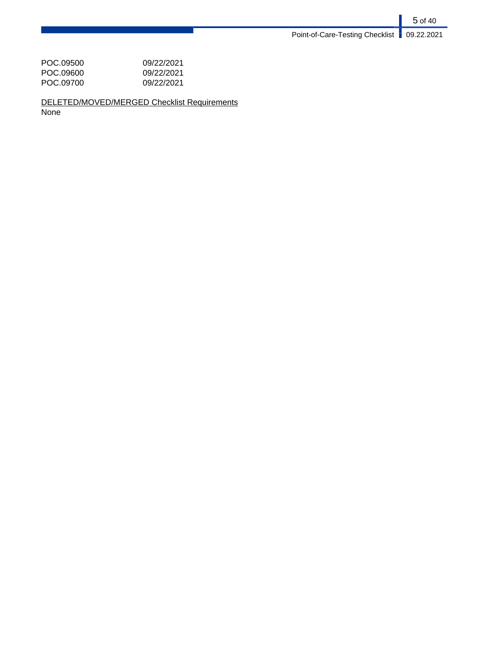| 09/22/2021 |
|------------|
| 09/22/2021 |
| 09/22/2021 |
|            |

DELETED/MOVED/MERGED Checklist Requirements None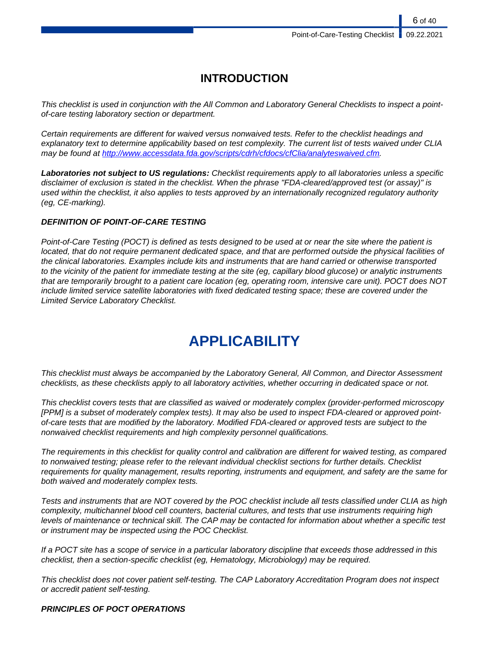# **INTRODUCTION**

This checklist is used in conjunction with the All Common and Laboratory General Checklists to inspect a pointof-care testing laboratory section or department.

Certain requirements are different for waived versus nonwaived tests. Refer to the checklist headings and explanatory text to determine applicability based on test complexity. The current list of tests waived under CLIA may be found at [http://www.accessdata.fda.gov/scripts/cdrh/cfdocs/cfClia/analyteswaived.cfm.](http://www.accessdata.fda.gov/scripts/cdrh/cfdocs/cfClia/analyteswaived.cfm)

**Laboratories not subject to US regulations:** Checklist requirements apply to all laboratories unless a specific disclaimer of exclusion is stated in the checklist. When the phrase "FDA-cleared/approved test (or assay)" is used within the checklist, it also applies to tests approved by an internationally recognized regulatory authority (eg, CE-marking).

#### **DEFINITION OF POINT-OF-CARE TESTING**

Point-of-Care Testing (POCT) is defined as tests designed to be used at or near the site where the patient is located, that do not require permanent dedicated space, and that are performed outside the physical facilities of the clinical laboratories. Examples include kits and instruments that are hand carried or otherwise transported to the vicinity of the patient for immediate testing at the site (eg, capillary blood glucose) or analytic instruments that are temporarily brought to a patient care location (eg, operating room, intensive care unit). POCT does NOT include limited service satellite laboratories with fixed dedicated testing space; these are covered under the Limited Service Laboratory Checklist.

# **APPLICABILITY**

This checklist must always be accompanied by the Laboratory General, All Common, and Director Assessment checklists, as these checklists apply to all laboratory activities, whether occurring in dedicated space or not.

This checklist covers tests that are classified as waived or moderately complex (provider-performed microscopy [PPM] is a subset of moderately complex tests). It may also be used to inspect FDA-cleared or approved pointof-care tests that are modified by the laboratory. Modified FDA-cleared or approved tests are subject to the nonwaived checklist requirements and high complexity personnel qualifications.

The requirements in this checklist for quality control and calibration are different for waived testing, as compared to nonwaived testing; please refer to the relevant individual checklist sections for further details. Checklist requirements for quality management, results reporting, instruments and equipment, and safety are the same for both waived and moderately complex tests.

Tests and instruments that are NOT covered by the POC checklist include all tests classified under CLIA as high complexity, multichannel blood cell counters, bacterial cultures, and tests that use instruments requiring high levels of maintenance or technical skill. The CAP may be contacted for information about whether a specific test or instrument may be inspected using the POC Checklist.

If a POCT site has a scope of service in a particular laboratory discipline that exceeds those addressed in this checklist, then a section-specific checklist (eg, Hematology, Microbiology) may be required.

This checklist does not cover patient self-testing. The CAP Laboratory Accreditation Program does not inspect or accredit patient self-testing.

#### **PRINCIPLES OF POCT OPERATIONS**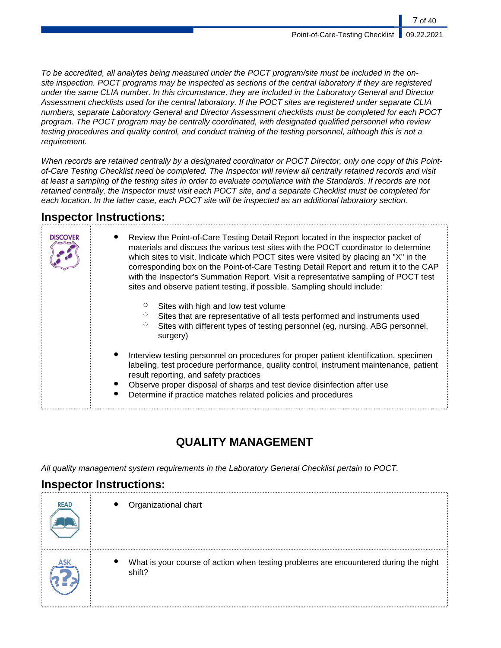To be accredited, all analytes being measured under the POCT program/site must be included in the onsite inspection. POCT programs may be inspected as sections of the central laboratory if they are registered under the same CLIA number. In this circumstance, they are included in the Laboratory General and Director Assessment checklists used for the central laboratory. If the POCT sites are registered under separate CLIA numbers, separate Laboratory General and Director Assessment checklists must be completed for each POCT program. The POCT program may be centrally coordinated, with designated qualified personnel who review testing procedures and quality control, and conduct training of the testing personnel, although this is not a requirement.

When records are retained centrally by a designated coordinator or POCT Director, only one copy of this Pointof-Care Testing Checklist need be completed. The Inspector will review all centrally retained records and visit at least a sampling of the testing sites in order to evaluate compliance with the Standards. If records are not retained centrally, the Inspector must visit each POCT site, and a separate Checklist must be completed for each location. In the latter case, each POCT site will be inspected as an additional laboratory section.

# **Inspector Instructions:**

| <b>DISCOVER</b> | Review the Point-of-Care Testing Detail Report located in the inspector packet of<br>materials and discuss the various test sites with the POCT coordinator to determine<br>which sites to visit. Indicate which POCT sites were visited by placing an "X" in the<br>corresponding box on the Point-of-Care Testing Detail Report and return it to the CAP<br>with the Inspector's Summation Report. Visit a representative sampling of POCT test<br>sites and observe patient testing, if possible. Sampling should include: |  |
|-----------------|-------------------------------------------------------------------------------------------------------------------------------------------------------------------------------------------------------------------------------------------------------------------------------------------------------------------------------------------------------------------------------------------------------------------------------------------------------------------------------------------------------------------------------|--|
|                 | Sites with high and low test volume<br>Sites that are representative of all tests performed and instruments used<br>Sites with different types of testing personnel (eg, nursing, ABG personnel,<br>surgery)                                                                                                                                                                                                                                                                                                                  |  |
|                 | Interview testing personnel on procedures for proper patient identification, specimen<br>labeling, test procedure performance, quality control, instrument maintenance, patient<br>result reporting, and safety practices<br>Observe proper disposal of sharps and test device disinfection after use<br>Determine if practice matches related policies and procedures                                                                                                                                                        |  |

# **QUALITY MANAGEMENT**

All quality management system requirements in the Laboratory General Checklist pertain to POCT.

# **Inspector Instructions:**

| <b>READ</b> | Organizational chart                                                                           |
|-------------|------------------------------------------------------------------------------------------------|
| <b>ASK</b>  | What is your course of action when testing problems are encountered during the night<br>shift? |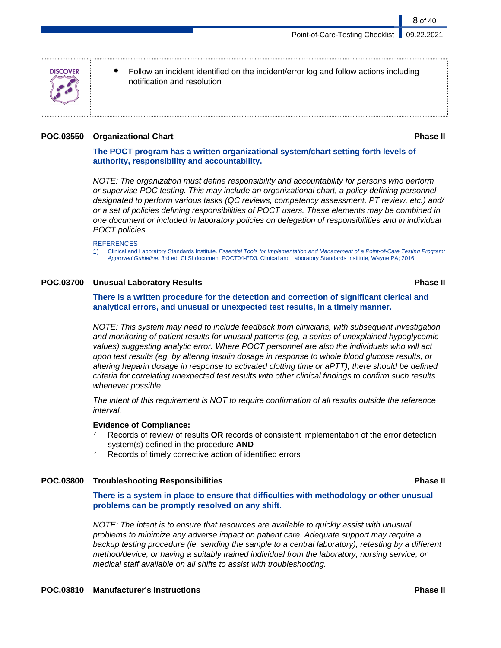Follow an incident identified on the incident/error log and follow actions including notification and resolution

#### **POC.03550 Organizational Chart Phase II**

8 of 40

### **The POCT program has a written organizational system/chart setting forth levels of authority, responsibility and accountability.**

NOTE: The organization must define responsibility and accountability for persons who perform or supervise POC testing. This may include an organizational chart, a policy defining personnel designated to perform various tasks (QC reviews, competency assessment, PT review, etc.) and/ or a set of policies defining responsibilities of POCT users. These elements may be combined in one document or included in laboratory policies on delegation of responsibilities and in individual POCT policies.

#### **REFERENCES**

1) Clinical and Laboratory Standards Institute. Essential Tools for Implementation and Management of a Point-of-Care Testing Program; Approved Guideline. 3rd ed. CLSI document POCT04-ED3. Clinical and Laboratory Standards Institute, Wayne PA; 2016.

#### **POC.03700 Unusual Laboratory Results Phase II**

**There is a written procedure for the detection and correction of significant clerical and analytical errors, and unusual or unexpected test results, in a timely manner.**

NOTE: This system may need to include feedback from clinicians, with subsequent investigation and monitoring of patient results for unusual patterns (eg, a series of unexplained hypoglycemic values) suggesting analytic error. Where POCT personnel are also the individuals who will act upon test results (eg, by altering insulin dosage in response to whole blood glucose results, or altering heparin dosage in response to activated clotting time or aPTT), there should be defined criteria for correlating unexpected test results with other clinical findings to confirm such results whenever possible.

The intent of this requirement is NOT to require confirmation of all results outside the reference interval.

#### **Evidence of Compliance:**

- ✓ Records of review of results **OR** records of consistent implementation of the error detection system(s) defined in the procedure **AND**
- Records of timely corrective action of identified errors

### **POC.03800 Troubleshooting Responsibilities Phase II**

**There is a system in place to ensure that difficulties with methodology or other unusual problems can be promptly resolved on any shift.**

NOTE: The intent is to ensure that resources are available to quickly assist with unusual problems to minimize any adverse impact on patient care. Adequate support may require a backup testing procedure (ie, sending the sample to a central laboratory), retesting by a different method/device, or having a suitably trained individual from the laboratory, nursing service, or medical staff available on all shifts to assist with troubleshooting.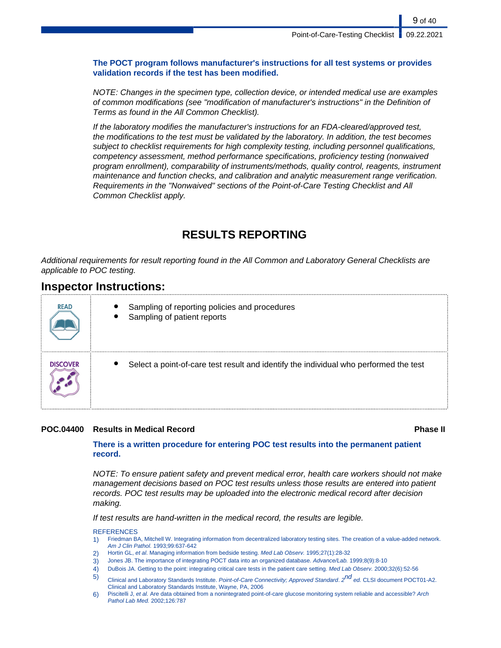### **The POCT program follows manufacturer's instructions for all test systems or provides validation records if the test has been modified.**

NOTE: Changes in the specimen type, collection device, or intended medical use are examples of common modifications (see "modification of manufacturer's instructions" in the Definition of Terms as found in the All Common Checklist).

If the laboratory modifies the manufacturer's instructions for an FDA-cleared/approved test, the modifications to the test must be validated by the laboratory. In addition, the test becomes subject to checklist requirements for high complexity testing, including personnel qualifications, competency assessment, method performance specifications, proficiency testing (nonwaived program enrollment), comparability of instruments/methods, quality control, reagents, instrument maintenance and function checks, and calibration and analytic measurement range verification. Requirements in the "Nonwaived" sections of the Point-of-Care Testing Checklist and All Common Checklist apply.

# **RESULTS REPORTING**

Additional requirements for result reporting found in the All Common and Laboratory General Checklists are applicable to POC testing.

## **Inspector Instructions:**

| <b>READ</b> | Sampling of reporting policies and procedures<br>Sampling of patient reports          |
|-------------|---------------------------------------------------------------------------------------|
| DISCOVER    | Select a point-of-care test result and identify the individual who performed the test |

### **POC.04400 Results in Medical Record Phase II**

### **There is a written procedure for entering POC test results into the permanent patient record.**

NOTE: To ensure patient safety and prevent medical error, health care workers should not make management decisions based on POC test results unless those results are entered into patient records. POC test results may be uploaded into the electronic medical record after decision making.

If test results are hand-written in the medical record, the results are legible.

- 1) Friedman BA, Mitchell W. Integrating information from decentralized laboratory testing sites. The creation of a value-added network. Am J Clin Pathol. 1993;99:637-642
- 2) Hortin GL, et al. Managing information from bedside testing. Med Lab Observ. 1995;27(1):28-32
- 3) Jones JB. The importance of integrating POCT data into an organized database. Advance/Lab. 1999;8(9):8-10
- 4) DuBois JA. Getting to the point: integrating critical care tests in the patient care setting. Med Lab Observ. 2000;32(6):52-56
- 5) Clinical and Laboratory Standards Institute. Point-of-Care Connectivity; Approved Standard. 2<sup>nd</sup> ed. CLSI document POCT01-A2. Clinical and Laboratory Standards Institute, Wayne, PA, 2006
- 6) Piscitelli J, et al. Are data obtained from a nonintegrated point-of-care glucose monitoring system reliable and accessible? Arch Pathol Lab Med. 2002;126:787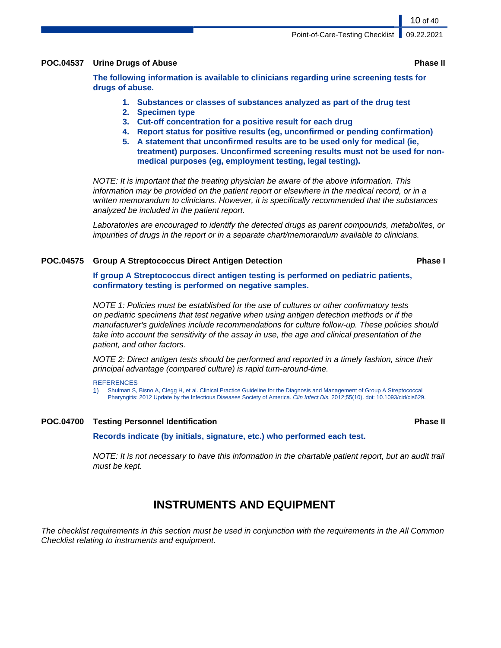Point-of-Care-Testing Checklist | 09.22.2021

#### **POC.04537 Urine Drugs of Abuse Phase II**

**The following information is available to clinicians regarding urine screening tests for drugs of abuse.**

- **1. Substances or classes of substances analyzed as part of the drug test**
- **2. Specimen type**
- **3. Cut-off concentration for a positive result for each drug**
- **4. Report status for positive results (eg, unconfirmed or pending confirmation)**
- **5. A statement that unconfirmed results are to be used only for medical (ie, treatment) purposes. Unconfirmed screening results must not be used for nonmedical purposes (eg, employment testing, legal testing).**

NOTE: It is important that the treating physician be aware of the above information. This information may be provided on the patient report or elsewhere in the medical record, or in a written memorandum to clinicians. However, it is specifically recommended that the substances analyzed be included in the patient report.

Laboratories are encouraged to identify the detected drugs as parent compounds, metabolites, or impurities of drugs in the report or in a separate chart/memorandum available to clinicians.

#### **POC.04575 Group A Streptococcus Direct Antigen Detection Phase I**

**If group A Streptococcus direct antigen testing is performed on pediatric patients, confirmatory testing is performed on negative samples.**

NOTE 1: Policies must be established for the use of cultures or other confirmatory tests on pediatric specimens that test negative when using antigen detection methods or if the manufacturer's guidelines include recommendations for culture follow-up. These policies should take into account the sensitivity of the assay in use, the age and clinical presentation of the patient, and other factors.

NOTE 2: Direct antigen tests should be performed and reported in a timely fashion, since their principal advantage (compared culture) is rapid turn-around-time.

#### **REFERENCES**

1) Shulman S, Bisno A, Clegg H, et al. Clinical Practice Guideline for the Diagnosis and Management of Group A Streptococcal Pharyngitis: 2012 Update by the Infectious Diseases Society of America. Clin Infect Dis. 2012;55(10). doi: 10.1093/cid/cis629.

#### **POC.04700 Testing Personnel Identification Phase II**

**Records indicate (by initials, signature, etc.) who performed each test.**

NOTE: It is not necessary to have this information in the chartable patient report, but an audit trail must be kept.

# **INSTRUMENTS AND EQUIPMENT**

The checklist requirements in this section must be used in conjunction with the requirements in the All Common Checklist relating to instruments and equipment.

10 of 40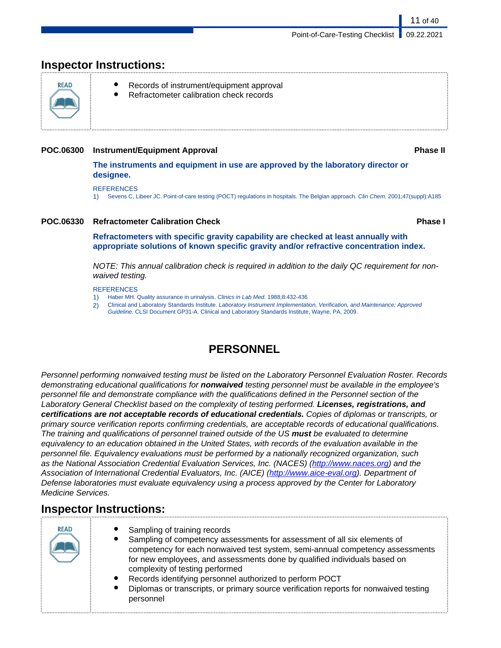# **Inspector Instructions:**



- Records of instrument/equipment approval
- Refractometer calibration check records

### **POC.06300 Instrument/Equipment Approval Phase II**

**The instruments and equipment in use are approved by the laboratory director or designee.**

#### REFERENCES

1) Sevens C, Libeer JC. Point-of-care testing (POCT) regulations in hospitals. The Belgian approach. Clin Chem. 2001;47(suppl):A185

### **POC.06330 Refractometer Calibration Check Phase I**

11 of 40

**Refractometers with specific gravity capability are checked at least annually with appropriate solutions of known specific gravity and/or refractive concentration index.**

NOTE: This annual calibration check is required in addition to the daily QC requirement for nonwaived testing.

#### **REFERENCES**

- Haber MH. Quality assurance in urinalysis. Clinics in Lab Med. 1988;8:432-436
- 2) Clinical and Laboratory Standards Institute. Laboratory Instrument Implementation, Verification, and Maintenance; Approved Guideline. CLSI Document GP31-A. Clinical and Laboratory Standards Institute, Wayne, PA, 2009.

# **PERSONNEL**

Personnel performing nonwaived testing must be listed on the Laboratory Personnel Evaluation Roster. Records demonstrating educational qualifications for **nonwaived** testing personnel must be available in the employee's personnel file and demonstrate compliance with the qualifications defined in the Personnel section of the Laboratory General Checklist based on the complexity of testing performed. **Licenses, registrations, and certifications are not acceptable records of educational credentials.** Copies of diplomas or transcripts, or primary source verification reports confirming credentials, are acceptable records of educational qualifications. The training and qualifications of personnel trained outside of the US **must** be evaluated to determine equivalency to an education obtained in the United States, with records of the evaluation available in the personnel file. Equivalency evaluations must be performed by a nationally recognized organization, such as the National Association Credential Evaluation Services, Inc. (NACES) (<http://www.naces.org>) and the Association of International Credential Evaluators, Inc. (AICE) [\(http://www.aice-eval.org](http://www.aice-eval.org)). Department of Defense laboratories must evaluate equivalency using a process approved by the Center for Laboratory Medicine Services.

# **Inspector Instructions:**

| <b>READ</b> | • Sampling of training records<br>Sampling of competency assessments for assessment of all six elements of<br>competency for each nonwaived test system, semi-annual competency assessments<br>for new employees, and assessments done by qualified individuals based on<br>complexity of testing performed<br>Records identifying personnel authorized to perform POCT<br>$\bullet$<br>Diplomas or transcripts, or primary source verification reports for nonwaived testing<br>$\bullet$<br>personnel |
|-------------|---------------------------------------------------------------------------------------------------------------------------------------------------------------------------------------------------------------------------------------------------------------------------------------------------------------------------------------------------------------------------------------------------------------------------------------------------------------------------------------------------------|
|-------------|---------------------------------------------------------------------------------------------------------------------------------------------------------------------------------------------------------------------------------------------------------------------------------------------------------------------------------------------------------------------------------------------------------------------------------------------------------------------------------------------------------|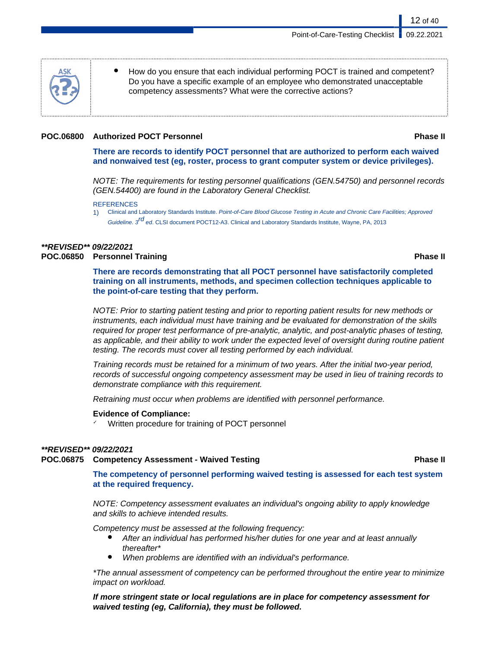How do you ensure that each individual performing POCT is trained and competent? Do you have a specific example of an employee who demonstrated unacceptable competency assessments? What were the corrective actions?

### **POC.06800 Authorized POCT Personnel Phase II**

12 of 40

**There are records to identify POCT personnel that are authorized to perform each waived and nonwaived test (eg, roster, process to grant computer system or device privileges).**

NOTE: The requirements for testing personnel qualifications (GEN.54750) and personnel records (GEN.54400) are found in the Laboratory General Checklist.

1) Clinical and Laboratory Standards Institute. Point-of-Care Blood Glucose Testing in Acute and Chronic Care Facilities; Approved Guideline. 3<sup>rd</sup> ed. CLSI document POCT12-A3. Clinical and Laboratory Standards Institute, Wayne, PA, 2013

## **\*\*REVISED\*\* 09/22/2021**

### **POC.06850 Personnel Training Phase II**

**There are records demonstrating that all POCT personnel have satisfactorily completed training on all instruments, methods, and specimen collection techniques applicable to the point-of-care testing that they perform.**

NOTE: Prior to starting patient testing and prior to reporting patient results for new methods or instruments, each individual must have training and be evaluated for demonstration of the skills required for proper test performance of pre-analytic, analytic, and post-analytic phases of testing, as applicable, and their ability to work under the expected level of oversight during routine patient testing. The records must cover all testing performed by each individual.

Training records must be retained for a minimum of two years. After the initial two-year period, records of successful ongoing competency assessment may be used in lieu of training records to demonstrate compliance with this requirement.

Retraining must occur when problems are identified with personnel performance.

### **Evidence of Compliance:**

✓ Written procedure for training of POCT personnel

### **\*\*REVISED\*\* 09/22/2021**

**POC.06875 Competency Assessment - Waived Testing Phase II**

**The competency of personnel performing waived testing is assessed for each test system at the required frequency.**

NOTE: Competency assessment evaluates an individual's ongoing ability to apply knowledge and skills to achieve intended results.

Competency must be assessed at the following frequency:

- After an individual has performed his/her duties for one year and at least annually thereafter\*
- When problems are identified with an individual's performance.

\*The annual assessment of competency can be performed throughout the entire year to minimize impact on workload.

**If more stringent state or local regulations are in place for competency assessment for waived testing (eg, California), they must be followed.**

**REFERENCES**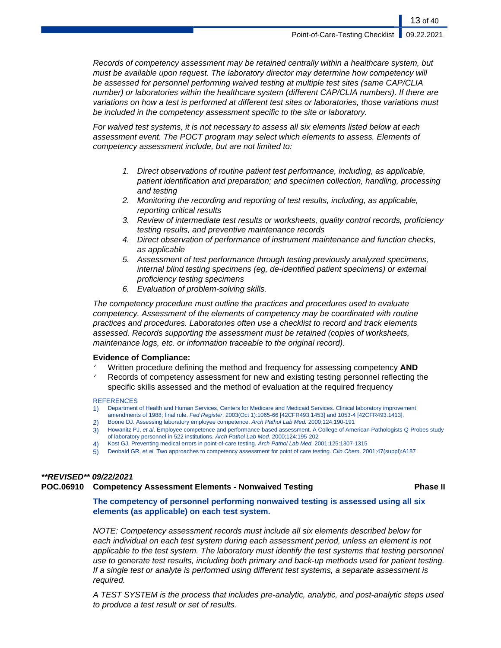Records of competency assessment may be retained centrally within a healthcare system, but must be available upon request. The laboratory director may determine how competency will be assessed for personnel performing waived testing at multiple test sites (same CAP/CLIA number) or laboratories within the healthcare system (different CAP/CLIA numbers). If there are variations on how a test is performed at different test sites or laboratories, those variations must be included in the competency assessment specific to the site or laboratory.

For waived test systems, it is not necessary to assess all six elements listed below at each assessment event. The POCT program may select which elements to assess. Elements of competency assessment include, but are not limited to:

- 1. Direct observations of routine patient test performance, including, as applicable, patient identification and preparation; and specimen collection, handling, processing and testing
- 2. Monitoring the recording and reporting of test results, including, as applicable, reporting critical results
- 3. Review of intermediate test results or worksheets, quality control records, proficiency testing results, and preventive maintenance records
- 4. Direct observation of performance of instrument maintenance and function checks, as applicable
- 5. Assessment of test performance through testing previously analyzed specimens, internal blind testing specimens (eg, de-identified patient specimens) or external proficiency testing specimens
- 6. Evaluation of problem-solving skills.

The competency procedure must outline the practices and procedures used to evaluate competency. Assessment of the elements of competency may be coordinated with routine practices and procedures. Laboratories often use a checklist to record and track elements assessed. Records supporting the assessment must be retained (copies of worksheets, maintenance logs, etc. or information traceable to the original record).

### **Evidence of Compliance:**

- Written procedure defining the method and frequency for assessing competency **AND**
- $\checkmark$  Records of competency assessment for new and existing testing personnel reflecting the specific skills assessed and the method of evaluation at the required frequency

#### **REFERENCES**

- 1) Department of Health and Human Services, Centers for Medicare and Medicaid Services. Clinical laboratory improvement amendments of 1988; final rule. Fed Register. 2003(Oct 1):1065-66 [42CFR493.1453] and 1053-4 [42CFR493.1413].
- 2) Boone DJ. Assessing laboratory employee competence. Arch Pathol Lab Med. 2000;124:190-191
- 3) Howanitz PJ, et al. Employee competence and performance-based assessment. A College of American Pathologists Q-Probes study of laboratory personnel in 522 institutions. Arch Pathol Lab Med. 2000;124:195-202
- 4) Kost GJ. Preventing medical errors in point-of-care testing. Arch Pathol Lab Med. 2001;125:1307-1315
- 5) Deobald GR, et al. Two approaches to competency assessment for point of care testing. Clin Chem. 2001;47(suppl):A187

## **\*\*REVISED\*\* 09/22/2021**

### **POC.06910 Competency Assessment Elements - Nonwaived Testing Phase II**

**The competency of personnel performing nonwaived testing is assessed using all six elements (as applicable) on each test system.**

NOTE: Competency assessment records must include all six elements described below for each individual on each test system during each assessment period, unless an element is not applicable to the test system. The laboratory must identify the test systems that testing personnel use to generate test results, including both primary and back-up methods used for patient testing. If a single test or analyte is performed using different test systems, a separate assessment is required.

A TEST SYSTEM is the process that includes pre-analytic, analytic, and post-analytic steps used to produce a test result or set of results.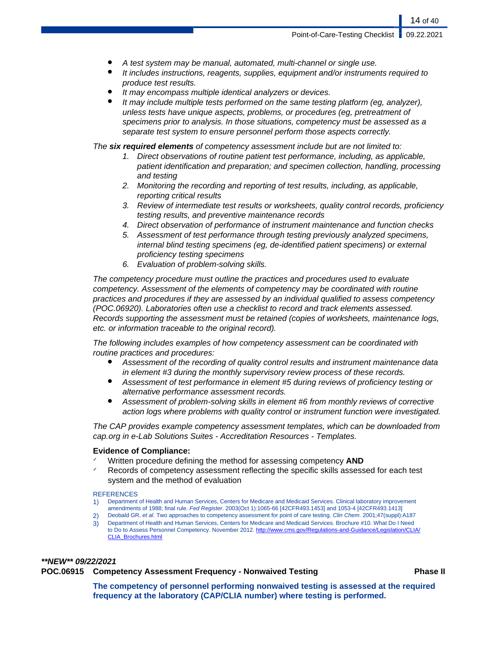- A test system may be manual, automated, multi-channel or single use.
- It includes instructions, reagents, supplies, equipment and/or instruments required to produce test results.
- It may encompass multiple identical analyzers or devices.
- It may include multiple tests performed on the same testing platform (eg, analyzer), unless tests have unique aspects, problems, or procedures (eg, pretreatment of specimens prior to analysis. In those situations, competency must be assessed as a separate test system to ensure personnel perform those aspects correctly.

The **six required elements** of competency assessment include but are not limited to:

- 1. Direct observations of routine patient test performance, including, as applicable, patient identification and preparation; and specimen collection, handling, processing and testing
- 2. Monitoring the recording and reporting of test results, including, as applicable, reporting critical results
- 3. Review of intermediate test results or worksheets, quality control records, proficiency testing results, and preventive maintenance records
- 4. Direct observation of performance of instrument maintenance and function checks
- 5. Assessment of test performance through testing previously analyzed specimens, internal blind testing specimens (eg, de-identified patient specimens) or external proficiency testing specimens
- 6. Evaluation of problem-solving skills.

The competency procedure must outline the practices and procedures used to evaluate competency. Assessment of the elements of competency may be coordinated with routine practices and procedures if they are assessed by an individual qualified to assess competency (POC.06920). Laboratories often use a checklist to record and track elements assessed. Records supporting the assessment must be retained (copies of worksheets, maintenance logs, etc. or information traceable to the original record).

The following includes examples of how competency assessment can be coordinated with routine practices and procedures:

- Assessment of the recording of quality control results and instrument maintenance data in element #3 during the monthly supervisory review process of these records.
- Assessment of test performance in element #5 during reviews of proficiency testing or alternative performance assessment records.
- Assessment of problem-solving skills in element #6 from monthly reviews of corrective action logs where problems with quality control or instrument function were investigated.

The CAP provides example competency assessment templates, which can be downloaded from cap.org in e-Lab Solutions Suites - Accreditation Resources - Templates.

### **Evidence of Compliance:**

- ✓ Written procedure defining the method for assessing competency **AND**
- Records of competency assessment reflecting the specific skills assessed for each test system and the method of evaluation

#### **REFERENCES**

- 1) Department of Health and Human Services, Centers for Medicare and Medicaid Services. Clinical laboratory improvement amendments of 1988; final rule. Fed Register. 2003(Oct 1):1065-66 [42CFR493.1453] and 1053-4 [42CFR493.1413]
- 2) Deobald GR, et al. Two approaches to competency assessment for point of care testing. Clin Chem. 2001;47(suppl):A187
- 3) Department of Health and Human Services, Centers for Medicare and Medicaid Services. Brochure #10. What Do I Need to Do to Assess Personnel Competency. November 2012. [http://www.cms.gov/Regulations-and-Guidance/Legislation/CLIA/](http://www.cms.gov/Regulations-and-Guidance/Legislation/CLIA/CLIA_Brochures.html) [CLIA\\_Brochures.html](http://www.cms.gov/Regulations-and-Guidance/Legislation/CLIA/CLIA_Brochures.html)

#### **\*\*NEW\*\* 09/22/2021**

**POC.06915 Competency Assessment Frequency - Nonwaived Testing Phase II**

**The competency of personnel performing nonwaived testing is assessed at the required frequency at the laboratory (CAP/CLIA number) where testing is performed.**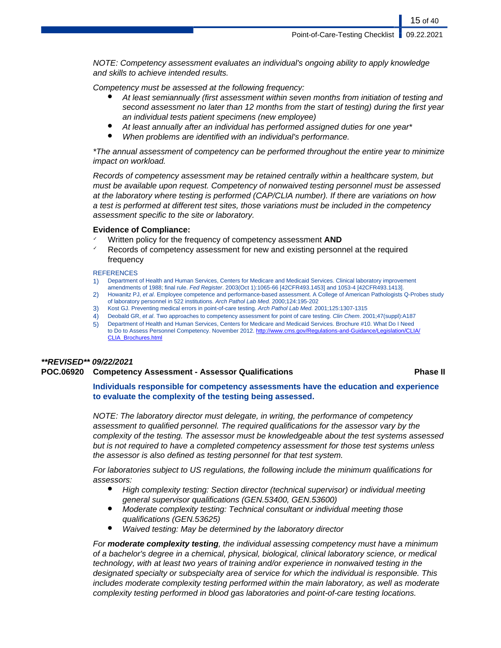NOTE: Competency assessment evaluates an individual's ongoing ability to apply knowledge and skills to achieve intended results.

Competency must be assessed at the following frequency:

- At least semiannually (first assessment within seven months from initiation of testing and second assessment no later than 12 months from the start of testing) during the first year an individual tests patient specimens (new employee)
- At least annually after an individual has performed assigned duties for one year\*
- When problems are identified with an individual's performance.

\*The annual assessment of competency can be performed throughout the entire year to minimize impact on workload.

Records of competency assessment may be retained centrally within a healthcare system, but must be available upon request. Competency of nonwaived testing personnel must be assessed at the laboratory where testing is performed (CAP/CLIA number). If there are variations on how a test is performed at different test sites, those variations must be included in the competency assessment specific to the site or laboratory.

#### **Evidence of Compliance:**

- Written policy for the frequency of competency assessment **AND**
- Records of competency assessment for new and existing personnel at the required frequency

#### **REFERENCES**

- 1) Department of Health and Human Services, Centers for Medicare and Medicaid Services. Clinical laboratory improvement
- amendments of 1988; final rule. Fed Register. 2003(Oct 1):1065-66 [42CFR493.1453] and 1053-4 [42CFR493.1413]. 2) Howanitz PJ, et al. Employee competence and performance-based assessment. A College of American Pathologists Q-Probes study of laboratory personnel in 522 institutions. Arch Pathol Lab Med. 2000;124:195-202
- 3) Kost GJ. Preventing medical errors in point-of-care testing. Arch Pathol Lab Med. 2001;125:1307-1315
- 4) Deobald GR, et al. Two approaches to competency assessment for point of care testing. Clin Chem. 2001;47(suppl):A187
- 5) Department of Health and Human Services, Centers for Medicare and Medicaid Services. Brochure #10. What Do I Need to Do to Assess Personnel Competency. November 2012. [http://www.cms.gov/Regulations-and-Guidance/Legislation/CLIA/](http://www.cms.gov/Regulations-and-Guidance/Legislation/CLIA/CLIA_Brochures.html) [CLIA\\_Brochures.html](http://www.cms.gov/Regulations-and-Guidance/Legislation/CLIA/CLIA_Brochures.html)

## **\*\*REVISED\*\* 09/22/2021**

### **POC.06920 Competency Assessment - Assessor Qualifications Phase II**

**Individuals responsible for competency assessments have the education and experience to evaluate the complexity of the testing being assessed.**

NOTE: The laboratory director must delegate, in writing, the performance of competency assessment to qualified personnel. The required qualifications for the assessor vary by the complexity of the testing. The assessor must be knowledgeable about the test systems assessed but is not required to have a completed competency assessment for those test systems unless the assessor is also defined as testing personnel for that test system.

For laboratories subject to US regulations, the following include the minimum qualifications for assessors:

- High complexity testing: Section director (technical supervisor) or individual meeting general supervisor qualifications (GEN.53400, GEN.53600)
- Moderate complexity testing: Technical consultant or individual meeting those qualifications (GEN.53625)
- Waived testing: May be determined by the laboratory director

For **moderate complexity testing**, the individual assessing competency must have a minimum of a bachelor's degree in a chemical, physical, biological, clinical laboratory science, or medical technology, with at least two years of training and/or experience in nonwaived testing in the designated specialty or subspecialty area of service for which the individual is responsible. This includes moderate complexity testing performed within the main laboratory, as well as moderate complexity testing performed in blood gas laboratories and point-of-care testing locations.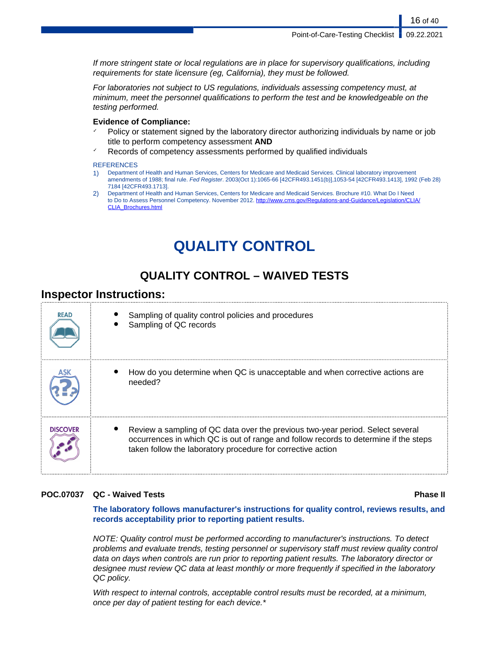If more stringent state or local regulations are in place for supervisory qualifications, including requirements for state licensure (eg, California), they must be followed.

For laboratories not subject to US regulations, individuals assessing competency must, at minimum, meet the personnel qualifications to perform the test and be knowledgeable on the testing performed.

#### **Evidence of Compliance:**

- Policy or statement signed by the laboratory director authorizing individuals by name or job title to perform competency assessment **AND**
- Records of competency assessments performed by qualified individuals

#### **REFERENCES**

- 1) Department of Health and Human Services, Centers for Medicare and Medicaid Services. Clinical laboratory improvement amendments of 1988; final rule. Fed Register. 2003(Oct 1):1065-66 [42CFR493.1451(b)],1053-54 [42CFR493.1413], 1992 (Feb 28) 7184 [42CFR493.1713].
- 2) Department of Health and Human Services, Centers for Medicare and Medicaid Services. Brochure #10. What Do I Need to Do to Assess Personnel Competency. November 2012. [http://www.cms.gov/Regulations-and-Guidance/Legislation/CLIA/](http://www.cms.gov/Regulations-and-Guidance/Legislation/CLIA/CLIA_Brochures.html) [CLIA\\_Brochures.html](http://www.cms.gov/Regulations-and-Guidance/Legislation/CLIA/CLIA_Brochures.html)

# **QUALITY CONTROL**

# **QUALITY CONTROL – WAIVED TESTS**

## **Inspector Instructions:**

| <b>READ</b>     | Sampling of quality control policies and procedures<br>Sampling of QC records                                                                                                                                                         |
|-----------------|---------------------------------------------------------------------------------------------------------------------------------------------------------------------------------------------------------------------------------------|
|                 | How do you determine when QC is unacceptable and when corrective actions are<br>needed?                                                                                                                                               |
| <b>DISCOVER</b> | Review a sampling of QC data over the previous two-year period. Select several<br>occurrences in which QC is out of range and follow records to determine if the steps<br>taken follow the laboratory procedure for corrective action |

### **POC.07037 QC - Waived Tests Phase II**

**The laboratory follows manufacturer's instructions for quality control, reviews results, and records acceptability prior to reporting patient results.**

NOTE: Quality control must be performed according to manufacturer's instructions. To detect problems and evaluate trends, testing personnel or supervisory staff must review quality control data on days when controls are run prior to reporting patient results. The laboratory director or designee must review QC data at least monthly or more frequently if specified in the laboratory QC policy.

With respect to internal controls, acceptable control results must be recorded, at a minimum, once per day of patient testing for each device.\*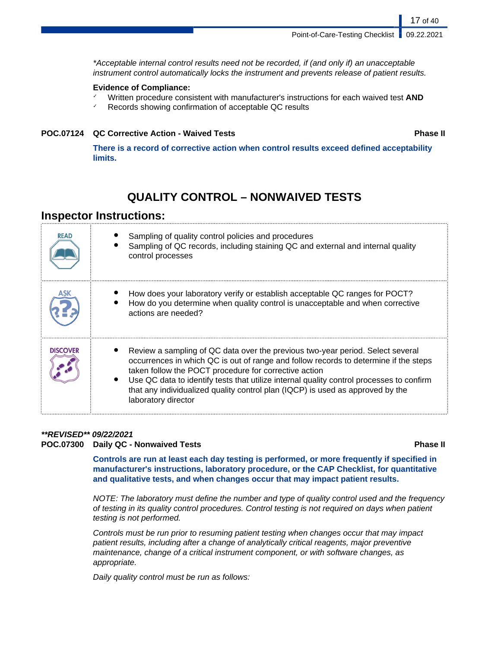\*Acceptable internal control results need not be recorded, if (and only if) an unacceptable instrument control automatically locks the instrument and prevents release of patient results.

### **Evidence of Compliance:**

- ✓ Written procedure consistent with manufacturer's instructions for each waived test **AND**
- ✓ Records showing confirmation of acceptable QC results

### **POC.07124 QC Corrective Action - Waived Tests Phase II**

17 of 40

**There is a record of corrective action when control results exceed defined acceptability limits.**

# **QUALITY CONTROL – NONWAIVED TESTS**

## **Inspector Instructions:**

| <b>READ</b>     | Sampling of quality control policies and procedures<br>Sampling of QC records, including staining QC and external and internal quality<br>control processes                                                                                                                                                                                                                                                                          |
|-----------------|--------------------------------------------------------------------------------------------------------------------------------------------------------------------------------------------------------------------------------------------------------------------------------------------------------------------------------------------------------------------------------------------------------------------------------------|
|                 | How does your laboratory verify or establish acceptable QC ranges for POCT?<br>How do you determine when quality control is unacceptable and when corrective<br>actions are needed?                                                                                                                                                                                                                                                  |
| <b>DISCOVER</b> | Review a sampling of QC data over the previous two-year period. Select several<br>occurrences in which QC is out of range and follow records to determine if the steps<br>taken follow the POCT procedure for corrective action<br>Use QC data to identify tests that utilize internal quality control processes to confirm<br>that any individualized quality control plan (IQCP) is used as approved by the<br>laboratory director |

### **\*\*REVISED\*\* 09/22/2021 POC.07300 Daily QC - Nonwaived Tests Phase II**

**Controls are run at least each day testing is performed, or more frequently if specified in manufacturer's instructions, laboratory procedure, or the CAP Checklist, for quantitative and qualitative tests, and when changes occur that may impact patient results.**

NOTE: The laboratory must define the number and type of quality control used and the frequency of testing in its quality control procedures. Control testing is not required on days when patient testing is not performed.

Controls must be run prior to resuming patient testing when changes occur that may impact patient results, including after a change of analytically critical reagents, major preventive maintenance, change of a critical instrument component, or with software changes, as appropriate.

Daily quality control must be run as follows: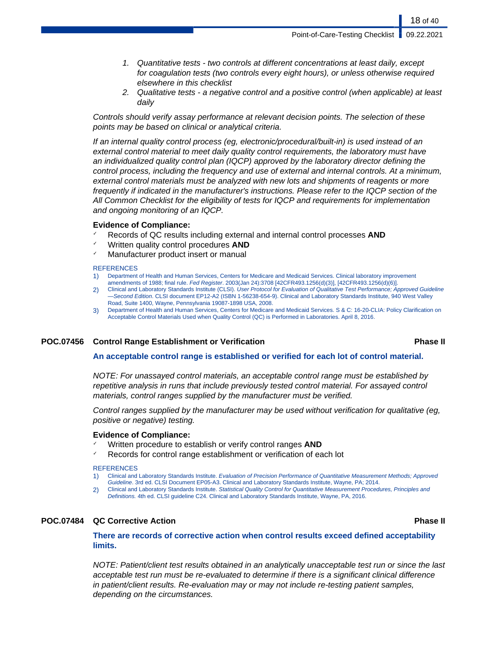Point-of-Care-Testing Checklist | 09.22.2021

- 1. Quantitative tests two controls at different concentrations at least daily, except for coagulation tests (two controls every eight hours), or unless otherwise required elsewhere in this checklist
- 2. Qualitative tests a negative control and a positive control (when applicable) at least daily

Controls should verify assay performance at relevant decision points. The selection of these points may be based on clinical or analytical criteria.

If an internal quality control process (eg, electronic/procedural/built-in) is used instead of an external control material to meet daily quality control requirements, the laboratory must have an individualized quality control plan (IQCP) approved by the laboratory director defining the control process, including the frequency and use of external and internal controls. At a minimum, external control materials must be analyzed with new lots and shipments of reagents or more frequently if indicated in the manufacturer's instructions. Please refer to the IQCP section of the All Common Checklist for the eligibility of tests for IQCP and requirements for implementation and ongoing monitoring of an IQCP.

#### **Evidence of Compliance:**

- ✓ Records of QC results including external and internal control processes **AND**
- ✓ Written quality control procedures **AND**
- Manufacturer product insert or manual

#### **REFERENCES**

- 1) Department of Health and Human Services, Centers for Medicare and Medicaid Services. Clinical laboratory improvement amendments of 1988; final rule. Fed Register. 2003(Jan 24):3708 [42CFR493.1256(d)(3)], [42CFR493.1256(d)(6)].
- 2) Clinical and Laboratory Standards Institute (CLSI). User Protocol for Evaluation of Qualitative Test Performance; Approved Guideline —Second Edition. CLSI document EP12-A2 (ISBN 1-56238-654-9). Clinical and Laboratory Standards Institute, 940 West Valley Road, Suite 1400, Wayne, Pennsylvania 19087-1898 USA, 2008.
- 3) Department of Health and Human Services, Centers for Medicare and Medicaid Services. S & C: 16-20-CLIA: Policy Clarification on Acceptable Control Materials Used when Quality Control (QC) is Performed in Laboratories. April 8, 2016.

#### **POC.07456 Control Range Establishment or Verification Phase II**

#### **An acceptable control range is established or verified for each lot of control material.**

NOTE: For unassayed control materials, an acceptable control range must be established by repetitive analysis in runs that include previously tested control material. For assayed control materials, control ranges supplied by the manufacturer must be verified.

Control ranges supplied by the manufacturer may be used without verification for qualitative (eg, positive or negative) testing.

#### **Evidence of Compliance:**

- Written procedure to establish or verify control ranges **AND**
- Records for control range establishment or verification of each lot

#### **REFERENCES**

1) Clinical and Laboratory Standards Institute. Evaluation of Precision Performance of Quantitative Measurement Methods; Approved Guideline. 3rd ed. CLSI Document EP05-A3. Clinical and Laboratory Standards Institute, Wayne, PA; 2014.

2) Clinical and Laboratory Standards Institute. Statistical Quality Control for Quantitative Measurement Procedures, Principles and Definitions. 4th ed. CLSI guideline C24. Clinical and Laboratory Standards Institute, Wayne, PA, 2016.

#### **POC.07484 QC Corrective Action Phase II**

**There are records of corrective action when control results exceed defined acceptability limits.**

NOTE: Patient/client test results obtained in an analytically unacceptable test run or since the last acceptable test run must be re-evaluated to determine if there is a significant clinical difference in patient/client results. Re-evaluation may or may not include re-testing patient samples, depending on the circumstances.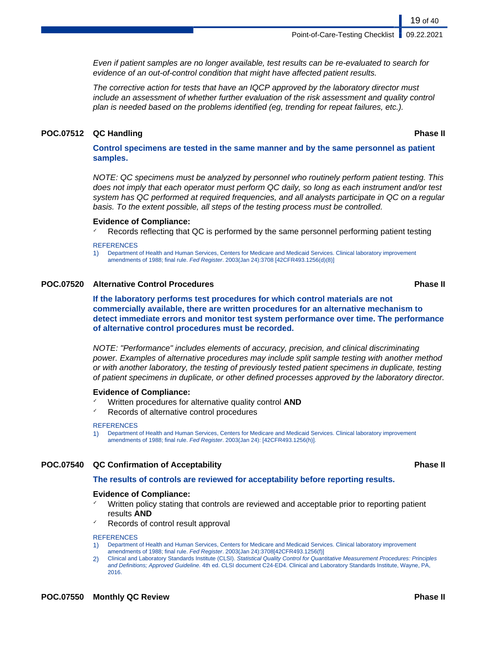Even if patient samples are no longer available, test results can be re-evaluated to search for evidence of an out-of-control condition that might have affected patient results.

The corrective action for tests that have an IQCP approved by the laboratory director must include an assessment of whether further evaluation of the risk assessment and quality control plan is needed based on the problems identified (eg, trending for repeat failures, etc.).

#### **POC.07512 QC Handling Phase II**

**Control specimens are tested in the same manner and by the same personnel as patient samples.**

NOTE: QC specimens must be analyzed by personnel who routinely perform patient testing. This does not imply that each operator must perform QC daily, so long as each instrument and/or test system has QC performed at required frequencies, and all analysts participate in QC on a regular basis. To the extent possible, all steps of the testing process must be controlled.

#### **Evidence of Compliance:**

Records reflecting that QC is performed by the same personnel performing patient testing

#### **REFERENCES**

1) Department of Health and Human Services, Centers for Medicare and Medicaid Services. Clinical laboratory improvement amendments of 1988; final rule. Fed Register. 2003(Jan 24):3708 [42CFR493.1256(d)(8)]

#### **POC.07520 Alternative Control Procedures Phase II**

**If the laboratory performs test procedures for which control materials are not commercially available, there are written procedures for an alternative mechanism to detect immediate errors and monitor test system performance over time. The performance of alternative control procedures must be recorded.**

NOTE: "Performance" includes elements of accuracy, precision, and clinical discriminating power. Examples of alternative procedures may include split sample testing with another method or with another laboratory, the testing of previously tested patient specimens in duplicate, testing of patient specimens in duplicate, or other defined processes approved by the laboratory director.

#### **Evidence of Compliance:**

- Written procedures for alternative quality control **AND**
- Records of alternative control procedures

#### REFERENCES

1) Department of Health and Human Services, Centers for Medicare and Medicaid Services. Clinical laboratory improvement amendments of 1988; final rule. Fed Register. 2003(Jan 24): [42CFR493.1256(h)].

#### **POC.07540 QC Confirmation of Acceptability Phase II**

#### **The results of controls are reviewed for acceptability before reporting results.**

#### **Evidence of Compliance:**

- Written policy stating that controls are reviewed and acceptable prior to reporting patient results **AND**
- Records of control result approval

- 1) Department of Health and Human Services, Centers for Medicare and Medicaid Services. Clinical laboratory improvement amendments of 1988; final rule. Fed Register. 2003(Jan 24):3708[42CFR493.1256(f)]
- 2) Clinical and Laboratory Standards Institute (CLSI). Statistical Quality Control for Quantitative Measurement Procedures: Principles and Definitions; Approved Guideline. 4th ed. CLSI document C24-ED4. Clinical and Laboratory Standards Institute, Wayne, PA, 2016.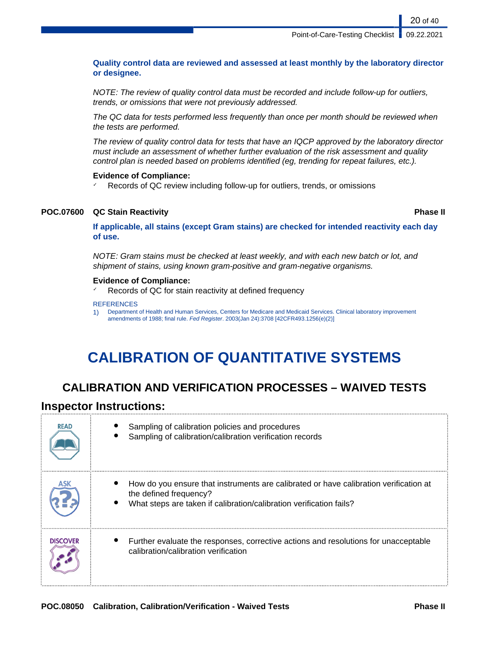#### **Quality control data are reviewed and assessed at least monthly by the laboratory director or designee.**

NOTE: The review of quality control data must be recorded and include follow-up for outliers, trends, or omissions that were not previously addressed.

The QC data for tests performed less frequently than once per month should be reviewed when the tests are performed.

The review of quality control data for tests that have an IQCP approved by the laboratory director must include an assessment of whether further evaluation of the risk assessment and quality control plan is needed based on problems identified (eg, trending for repeat failures, etc.).

#### **Evidence of Compliance:**

✓ Records of QC review including follow-up for outliers, trends, or omissions

#### **POC.07600 QC Stain Reactivity Phase II**

**If applicable, all stains (except Gram stains) are checked for intended reactivity each day of use.**

NOTE: Gram stains must be checked at least weekly, and with each new batch or lot, and shipment of stains, using known gram-positive and gram-negative organisms.

#### **Evidence of Compliance:**

✓ Records of QC for stain reactivity at defined frequency

#### **REFERENCES**

1) Department of Health and Human Services, Centers for Medicare and Medicaid Services. Clinical laboratory improvement amendments of 1988; final rule. Fed Register. 2003(Jan 24):3708 [42CFR493.1256(e)(2)]

# **CALIBRATION OF QUANTITATIVE SYSTEMS**

## **CALIBRATION AND VERIFICATION PROCESSES – WAIVED TESTS**

### **Inspector Instructions:**

| <b>READ</b>     | Sampling of calibration policies and procedures<br>Sampling of calibration/calibration verification records                                                                            |
|-----------------|----------------------------------------------------------------------------------------------------------------------------------------------------------------------------------------|
|                 | How do you ensure that instruments are calibrated or have calibration verification at<br>the defined frequency?<br>What steps are taken if calibration/calibration verification fails? |
| <b>DISCOVER</b> | Further evaluate the responses, corrective actions and resolutions for unacceptable<br>calibration/calibration verification                                                            |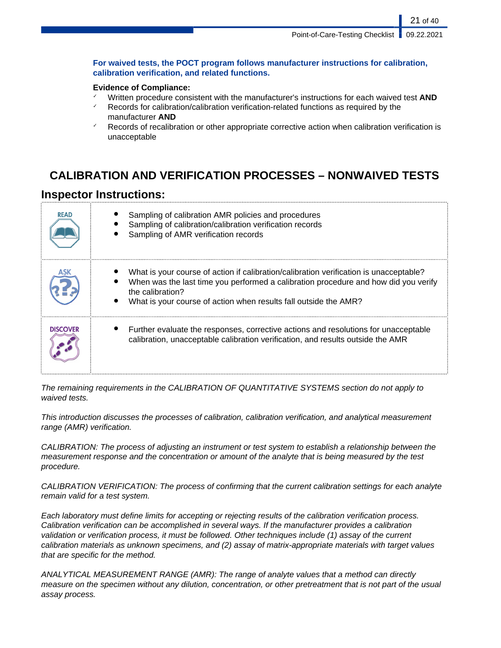**For waived tests, the POCT program follows manufacturer instructions for calibration, calibration verification, and related functions.**

### **Evidence of Compliance:**

- ✓ Written procedure consistent with the manufacturer's instructions for each waived test **AND**
- Records for calibration/calibration verification-related functions as required by the manufacturer **AND**
- Records of recalibration or other appropriate corrective action when calibration verification is unacceptable

# **CALIBRATION AND VERIFICATION PROCESSES – NONWAIVED TESTS**

## **Inspector Instructions:**

| <b>READ</b>     | Sampling of calibration AMR policies and procedures<br>Sampling of calibration/calibration verification records<br>Sampling of AMR verification records                                                                                                               |
|-----------------|-----------------------------------------------------------------------------------------------------------------------------------------------------------------------------------------------------------------------------------------------------------------------|
|                 | What is your course of action if calibration/calibration verification is unacceptable?<br>When was the last time you performed a calibration procedure and how did you verify<br>the calibration?<br>What is your course of action when results fall outside the AMR? |
| <b>DISCOVER</b> | Further evaluate the responses, corrective actions and resolutions for unacceptable<br>calibration, unacceptable calibration verification, and results outside the AMR                                                                                                |

The remaining requirements in the CALIBRATION OF QUANTITATIVE SYSTEMS section do not apply to waived tests.

This introduction discusses the processes of calibration, calibration verification, and analytical measurement range (AMR) verification.

CALIBRATION: The process of adjusting an instrument or test system to establish a relationship between the measurement response and the concentration or amount of the analyte that is being measured by the test procedure.

CALIBRATION VERIFICATION: The process of confirming that the current calibration settings for each analyte remain valid for a test system.

Each laboratory must define limits for accepting or rejecting results of the calibration verification process. Calibration verification can be accomplished in several ways. If the manufacturer provides a calibration validation or verification process, it must be followed. Other techniques include (1) assay of the current calibration materials as unknown specimens, and (2) assay of matrix-appropriate materials with target values that are specific for the method.

ANALYTICAL MEASUREMENT RANGE (AMR): The range of analyte values that a method can directly measure on the specimen without any dilution, concentration, or other pretreatment that is not part of the usual assay process.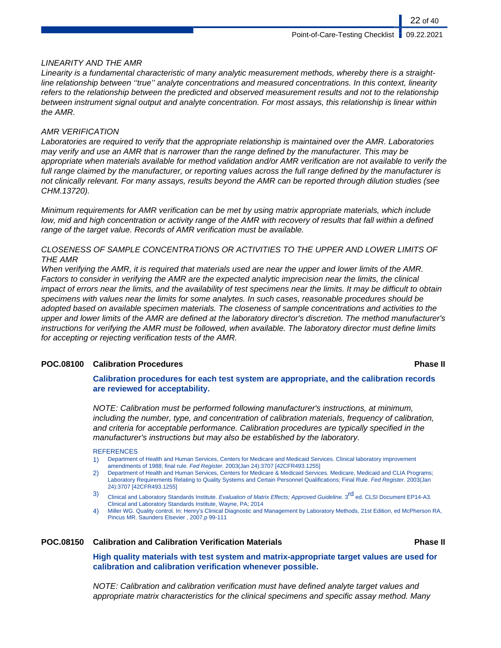### LINEARITY AND THE AMR

Linearity is a fundamental characteristic of many analytic measurement methods, whereby there is a straightline relationship between ''true'' analyte concentrations and measured concentrations. In this context, linearity refers to the relationship between the predicted and observed measurement results and not to the relationship between instrument signal output and analyte concentration. For most assays, this relationship is linear within the AMR.

### AMR VERIFICATION

Laboratories are required to verify that the appropriate relationship is maintained over the AMR. Laboratories may verify and use an AMR that is narrower than the range defined by the manufacturer. This may be appropriate when materials available for method validation and/or AMR verification are not available to verify the full range claimed by the manufacturer, or reporting values across the full range defined by the manufacturer is not clinically relevant. For many assays, results beyond the AMR can be reported through dilution studies (see CHM.13720).

Minimum requirements for AMR verification can be met by using matrix appropriate materials, which include low, mid and high concentration or activity range of the AMR with recovery of results that fall within a defined range of the target value. Records of AMR verification must be available.

### CLOSENESS OF SAMPLE CONCENTRATIONS OR ACTIVITIES TO THE UPPER AND LOWER LIMITS OF THE AMR

When verifying the AMR, it is required that materials used are near the upper and lower limits of the AMR. Factors to consider in verifying the AMR are the expected analytic imprecision near the limits, the clinical impact of errors near the limits, and the availability of test specimens near the limits. It may be difficult to obtain specimens with values near the limits for some analytes. In such cases, reasonable procedures should be adopted based on available specimen materials. The closeness of sample concentrations and activities to the upper and lower limits of the AMR are defined at the laboratory director's discretion. The method manufacturer's instructions for verifying the AMR must be followed, when available. The laboratory director must define limits for accepting or rejecting verification tests of the AMR.

### **POC.08100 Calibration Procedures Phase II**

#### **Calibration procedures for each test system are appropriate, and the calibration records are reviewed for acceptability.**

NOTE: Calibration must be performed following manufacturer's instructions, at minimum, including the number, type, and concentration of calibration materials, frequency of calibration, and criteria for acceptable performance. Calibration procedures are typically specified in the manufacturer's instructions but may also be established by the laboratory.

#### **REFERENCES**

- 1) Department of Health and Human Services, Centers for Medicare and Medicaid Services. Clinical laboratory improvement amendments of 1988; final rule. Fed Register. 2003(Jan 24):3707 [42CFR493.1255]
- 2) Department of Health and Human Services, Centers for Medicare & Medicaid Services. Medicare, Medicaid and CLIA Programs; Laboratory Requirements Relating to Quality Systems and Certain Personnel Qualifications; Final Rule. Fed Register. 2003(Jan 24):3707 [42CFR493.1255]
- 3) Clinical and Laboratory Standards Institute. Evaluation of Matrix Effects; Approved Guideline. 3<sup>rd</sup> ed. CLSI Document EP14-A3. Clinical and Laboratory Standards Institute, Wayne, PA; 2014
- 4) Miller WG. Quality control. In: Henry's Clinical Diagnostic and Management by Laboratory Methods, 21st Edition, ed McPherson RA, Pincus MR. Saunders Elsevier , 2007,p 99-111

### **POC.08150 Calibration and Calibration Verification Materials Phase II**

**High quality materials with test system and matrix-appropriate target values are used for calibration and calibration verification whenever possible.**

NOTE: Calibration and calibration verification must have defined analyte target values and appropriate matrix characteristics for the clinical specimens and specific assay method. Many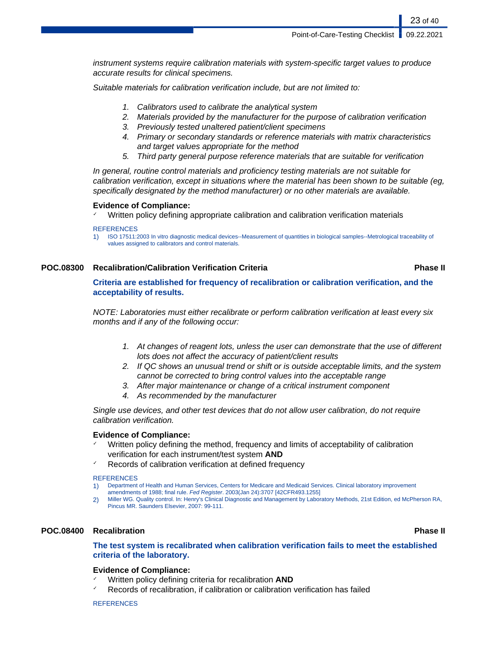instrument systems require calibration materials with system-specific target values to produce accurate results for clinical specimens.

Suitable materials for calibration verification include, but are not limited to:

- 1. Calibrators used to calibrate the analytical system
- 2. Materials provided by the manufacturer for the purpose of calibration verification
- 3. Previously tested unaltered patient/client specimens
- 4. Primary or secondary standards or reference materials with matrix characteristics and target values appropriate for the method
- 5. Third party general purpose reference materials that are suitable for verification

In general, routine control materials and proficiency testing materials are not suitable for calibration verification, except in situations where the material has been shown to be suitable (eg, specifically designated by the method manufacturer) or no other materials are available.

#### **Evidence of Compliance:**

Written policy defining appropriate calibration and calibration verification materials

**REFERENCES** 

1) ISO 17511:2003 In vitro diagnostic medical devices--Measurement of quantities in biological samples--Metrological traceability of values assigned to calibrators and control materials.

#### **POC.08300 Recalibration/Calibration Verification Criteria Phase II**

23 of 40

**Criteria are established for frequency of recalibration or calibration verification, and the acceptability of results.**

NOTE: Laboratories must either recalibrate or perform calibration verification at least every six months and if any of the following occur:

- 1. At changes of reagent lots, unless the user can demonstrate that the use of different lots does not affect the accuracy of patient/client results
- 2. If QC shows an unusual trend or shift or is outside acceptable limits, and the system cannot be corrected to bring control values into the acceptable range
- 3. After major maintenance or change of a critical instrument component
- 4. As recommended by the manufacturer

Single use devices, and other test devices that do not allow user calibration, do not require calibration verification.

### **Evidence of Compliance:**

- Written policy defining the method, frequency and limits of acceptability of calibration verification for each instrument/test system **AND**
- Records of calibration verification at defined frequency

#### **REFERENCES**

- 1) Department of Health and Human Services, Centers for Medicare and Medicaid Services. Clinical laboratory improvement
- amendments of 1988; final rule. Fed Register. 2003(Jan 24):3707 [42CFR493.1255] 2) Miller WG. Quality control. In: Henry's Clinical Diagnostic and Management by Laboratory Methods, 21st Edition, ed McPherson RA,
- Pincus MR. Saunders Elsevier, 2007: 99-111.

### **POC.08400 Recalibration Phase II**

### **The test system is recalibrated when calibration verification fails to meet the established criteria of the laboratory.**

#### **Evidence of Compliance:**

- ✓ Written policy defining criteria for recalibration **AND**
- Records of recalibration, if calibration or calibration verification has failed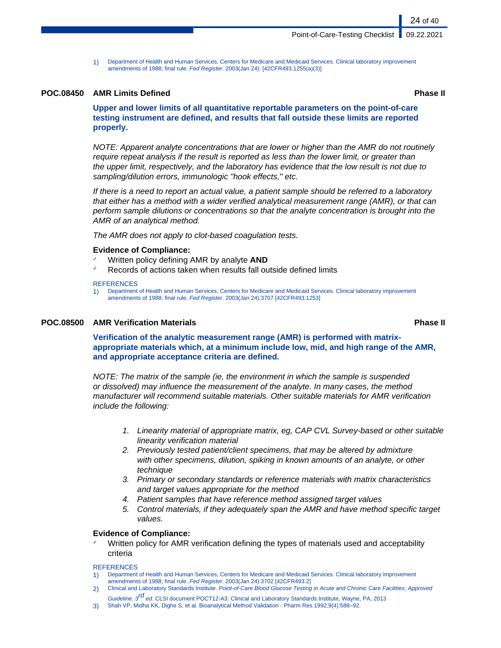1) Department of Health and Human Services, Centers for Medicare and Medicaid Services. Clinical laboratory improvement amendments of 1988; final rule. Fed Register. 2003(Jan 24): [42CFR493.1255(a)(3)]

#### **POC.08450 AMR Limits Defined Phase II**

**Upper and lower limits of all quantitative reportable parameters on the point-of-care testing instrument are defined, and results that fall outside these limits are reported properly.**

NOTE: Apparent analyte concentrations that are lower or higher than the AMR do not routinely require repeat analysis if the result is reported as less than the lower limit, or greater than the upper limit, respectively, and the laboratory has evidence that the low result is not due to sampling/dilution errors, immunologic "hook effects," etc.

If there is a need to report an actual value, a patient sample should be referred to a laboratory that either has a method with a wider verified analytical measurement range (AMR), or that can perform sample dilutions or concentrations so that the analyte concentration is brought into the AMR of an analytical method.

The AMR does not apply to clot-based coagulation tests.

#### **Evidence of Compliance:**

- Written policy defining AMR by analyte **AND**
- Records of actions taken when results fall outside defined limits

#### **REFERENCES**

1) Department of Health and Human Services, Centers for Medicare and Medicaid Services. Clinical laboratory improvement amendments of 1988; final rule. Fed Register. 2003(Jan 24):3707 [42CFR493.1253]

#### **POC.08500 AMR Verification Materials Phase II**

**Verification of the analytic measurement range (AMR) is performed with matrixappropriate materials which, at a minimum include low, mid, and high range of the AMR, and appropriate acceptance criteria are defined.**

NOTE: The matrix of the sample (ie, the environment in which the sample is suspended or dissolved) may influence the measurement of the analyte. In many cases, the method manufacturer will recommend suitable materials. Other suitable materials for AMR verification include the following:

- 1. Linearity material of appropriate matrix, eg, CAP CVL Survey-based or other suitable linearity verification material
- 2. Previously tested patient/client specimens, that may be altered by admixture with other specimens, dilution, spiking in known amounts of an analyte, or other technique
- 3. Primary or secondary standards or reference materials with matrix characteristics and target values appropriate for the method
- 4. Patient samples that have reference method assigned target values
- 5. Control materials, if they adequately span the AMR and have method specific target values.

#### **Evidence of Compliance:**

Written policy for AMR verification defining the types of materials used and acceptability criteria

- 1) Department of Health and Human Services, Centers for Medicare and Medicaid Services. Clinical laboratory improvement amendments of 1988; final rule. Fed Register. 2003(Jan 24):3702 [42CFR493.2]
- 2) Clinical and Laboratory Standards Institute. Point-of-Care Blood Glucose Testing in Acute and Chronic Care Facilities; Approved Guideline. 3<sup>rd</sup> ed. CLSI document POCT12-A3. Clinical and Laboratory Standards Institute, Wayne, PA, 2013
- 3) Shah VP, Midha KK, Dighe S, et al. Bioanalytical Method Validation Pharm Res.1992;9(4):588–92.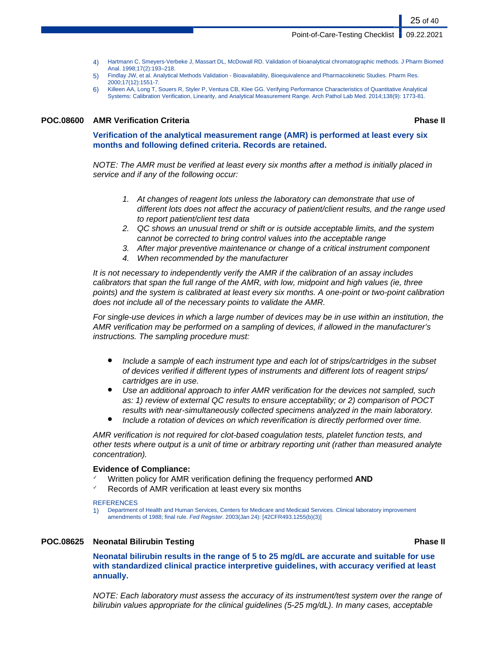#### Point-of-Care-Testing Checklist | 09.22.2021

- 4) Hartmann C, Smeyers-Verbeke J, Massart DL, McDowall RD. Validation of bioanalytical chromatographic methods. J Pharm Biomed Anal. 1998;17(2):193–218.
- 5) Findlay JW, et al. Analytical Methods Validation Bioavailability, Bioequivalence and Pharmacokinetic Studies. Pharm Res. 2000;17(12):1551-7.
- 6) Killeen AA, Long T, Souers R, Styler P, Ventura CB, Klee GG. Verifying Performance Characteristics of Quantitative Analytical Systems: Calibration Verification, Linearity, and Analytical Measurement Range. Arch Pathol Lab Med. 2014;138(9): 1773-81.

#### **POC.08600 AMR Verification Criteria Phase II**

**Verification of the analytical measurement range (AMR) is performed at least every six months and following defined criteria. Records are retained.**

NOTE: The AMR must be verified at least every six months after a method is initially placed in service and if any of the following occur:

- 1. At changes of reagent lots unless the laboratory can demonstrate that use of different lots does not affect the accuracy of patient/client results, and the range used to report patient/client test data
- 2. QC shows an unusual trend or shift or is outside acceptable limits, and the system cannot be corrected to bring control values into the acceptable range
- 3. After major preventive maintenance or change of a critical instrument component
- 4. When recommended by the manufacturer

It is not necessary to independently verify the AMR if the calibration of an assay includes calibrators that span the full range of the AMR, with low, midpoint and high values (ie, three points) and the system is calibrated at least every six months. A one-point or two-point calibration does not include all of the necessary points to validate the AMR.

For single-use devices in which a large number of devices may be in use within an institution, the AMR verification may be performed on a sampling of devices, if allowed in the manufacturer's instructions. The sampling procedure must:

- Include a sample of each instrument type and each lot of strips/cartridges in the subset of devices verified if different types of instruments and different lots of reagent strips/ cartridges are in use.
- Use an additional approach to infer AMR verification for the devices not sampled, such as: 1) review of external QC results to ensure acceptability; or 2) comparison of POCT results with near-simultaneously collected specimens analyzed in the main laboratory.
- Include a rotation of devices on which reverification is directly performed over time.

AMR verification is not required for clot-based coagulation tests, platelet function tests, and other tests where output is a unit of time or arbitrary reporting unit (rather than measured analyte concentration).

#### **Evidence of Compliance:**

- ✓ Written policy for AMR verification defining the frequency performed **AND**
- Records of AMR verification at least every six months

#### **REFERENCES**

1) Department of Health and Human Services, Centers for Medicare and Medicaid Services. Clinical laboratory improvement amendments of 1988; final rule. Fed Register. 2003(Jan 24): [42CFR493.1255(b)(3)]

#### **POC.08625 Neonatal Bilirubin Testing Phase II**

**Neonatal bilirubin results in the range of 5 to 25 mg/dL are accurate and suitable for use with standardized clinical practice interpretive guidelines, with accuracy verified at least annually.**

NOTE: Each laboratory must assess the accuracy of its instrument/test system over the range of bilirubin values appropriate for the clinical guidelines (5-25 mg/dL). In many cases, acceptable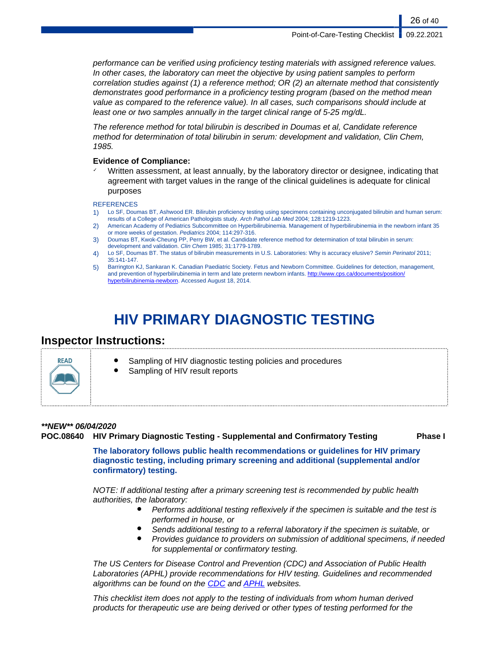performance can be verified using proficiency testing materials with assigned reference values. In other cases, the laboratory can meet the objective by using patient samples to perform correlation studies against (1) a reference method; OR (2) an alternate method that consistently demonstrates good performance in a proficiency testing program (based on the method mean value as compared to the reference value). In all cases, such comparisons should include at least one or two samples annually in the target clinical range of 5-25 mg/dL.

The reference method for total bilirubin is described in Doumas et al, Candidate reference method for determination of total bilirubin in serum: development and validation, Clin Chem, 1985.

#### **Evidence of Compliance:**

Written assessment, at least annually, by the laboratory director or designee, indicating that agreement with target values in the range of the clinical guidelines is adequate for clinical purposes

#### **REFERENCES**

- 1) Lo SF, Doumas BT, Ashwood ER. Bilirubin proficiency testing using specimens containing unconjugated bilirubin and human serum: results of a College of American Pathologists study. Arch Pathol Lab Med 2004; 128:1219-1223.
- 2) American Academy of Pediatrics Subcommittee on Hyperbilirubinemia. Management of hyperbilirubinemia in the newborn infant 35 or more weeks of gestation. Pediatrics 2004; 114:297-316.
- 3) Doumas BT, Kwok-Cheung PP, Perry BW, et al. Candidate reference method for determination of total bilirubin in serum: development and validation. Clin Chem 1985; 31:1779-1789.
- 4) Lo SF, Doumas BT. The status of bilirubin measurements in U.S. Laboratories: Why is accuracy elusive? Semin Perinatol 2011; 35:141-147.
- 5) Barrington KJ, Sankaran K. Canadian Paediatric Society. Fetus and Newborn Committee. Guidelines for detection, management, and prevention of hyperbilirubinemia in term and late preterm newborn infants. [http://www.cps.ca/documents/position/](http://www.cps.ca/documents/position/hyperbilirubinemia-newborn) [hyperbilirubinemia-newborn.](http://www.cps.ca/documents/position/hyperbilirubinemia-newborn) Accessed August 18, 2014.

# **HIV PRIMARY DIAGNOSTIC TESTING**

## **Inspector Instructions:**



- Sampling of HIV diagnostic testing policies and procedures
- Sampling of HIV result reports

### **\*\*NEW\*\* 06/04/2020**

**POC.08640 HIV Primary Diagnostic Testing - Supplemental and Confirmatory Testing Phase I**

**The laboratory follows public health recommendations or guidelines for HIV primary diagnostic testing, including primary screening and additional (supplemental and/or confirmatory) testing.**

NOTE: If additional testing after a primary screening test is recommended by public health authorities, the laboratory:

- Performs additional testing reflexively if the specimen is suitable and the test is performed in house, or
- Sends additional testing to a referral laboratory if the specimen is suitable, or
- Provides guidance to providers on submission of additional specimens, if needed for supplemental or confirmatory testing.

The US Centers for Disease Control and Prevention (CDC) and Association of Public Health Laboratories (APHL) provide recommendations for HIV testing. Guidelines and recommended algorithms can be found on the [CDC](https://www.cdc.gov/hiv/guidelines/testing.html) and **APHL** websites.

This checklist item does not apply to the testing of individuals from whom human derived products for therapeutic use are being derived or other types of testing performed for the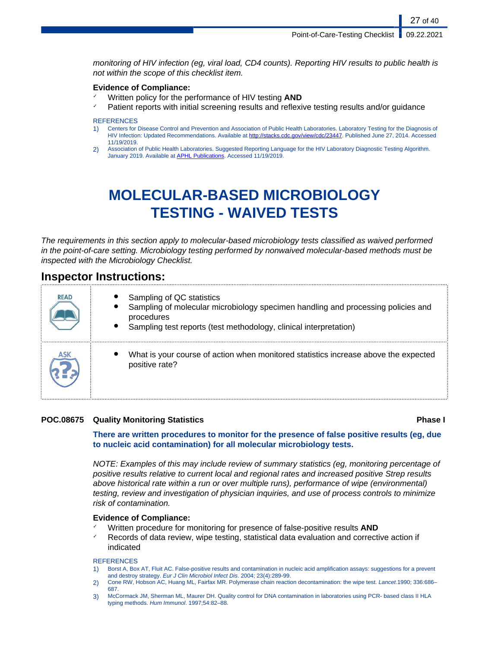monitoring of HIV infection (eg, viral load, CD4 counts). Reporting HIV results to public health is not within the scope of this checklist item.

#### **Evidence of Compliance:**

- Written policy for the performance of HIV testing **AND**
- Patient reports with initial screening results and reflexive testing results and/or guidance

#### **REFERENCES**

- 1) Centers for Disease Control and Prevention and Association of Public Health Laboratories. Laboratory Testing for the Diagnosis of HIV Infection: Updated Recommendations. Available at <http://stacks.cdc.gov/view/cdc/23447>. Published June 27, 2014. Accessed 11/19/2019.
- 2) Association of Public Health Laboratories. Suggested Reporting Language for the HIV Laboratory Diagnostic Testing Algorithm. January 2019. Available at [APHL Publications](#page-0-0). Accessed 11/19/2019.

# **MOLECULAR-BASED MICROBIOLOGY TESTING - WAIVED TESTS**

The requirements in this section apply to molecular-based microbiology tests classified as waived performed in the point-of-care setting. Microbiology testing performed by nonwaived molecular-based methods must be inspected with the Microbiology Checklist.

## **Inspector Instructions:**

| <b>READ</b> | Sampling of QC statistics<br>Sampling of molecular microbiology specimen handling and processing policies and<br>procedures<br>Sampling test reports (test methodology, clinical interpretation) |
|-------------|--------------------------------------------------------------------------------------------------------------------------------------------------------------------------------------------------|
| <b>ASK</b>  | What is your course of action when monitored statistics increase above the expected<br>positive rate?                                                                                            |

### **POC.08675 Quality Monitoring Statistics Phase I**

### **There are written procedures to monitor for the presence of false positive results (eg, due to nucleic acid contamination) for all molecular microbiology tests.**

NOTE: Examples of this may include review of summary statistics (eg, monitoring percentage of positive results relative to current local and regional rates and increased positive Strep results above historical rate within a run or over multiple runs), performance of wipe (environmental) testing, review and investigation of physician inquiries, and use of process controls to minimize risk of contamination.

#### **Evidence of Compliance:**

- Written procedure for monitoring for presence of false-positive results **AND**
- Records of data review, wipe testing, statistical data evaluation and corrective action if indicated

- 1) Borst A, Box AT, Fluit AC. False-positive results and contamination in nucleic acid amplification assays: suggestions for a prevent and destroy strategy. Eur J Clin Microbiol Infect Dis. 2004; 23(4):289-99.
- 2) Cone RW, Hobson AC, Huang ML, Fairfax MR. Polymerase chain reaction decontamination: the wipe test. Lancet.1990; 336:686-687.
- 3) McCormack JM, Sherman ML, Maurer DH. Quality control for DNA contamination in laboratories using PCR- based class II HLA typing methods. Hum Immunol. 1997;54:82–88.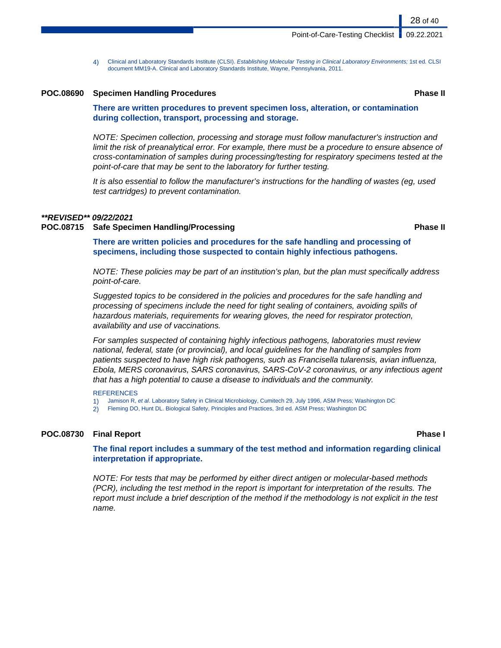4) Clinical and Laboratory Standards Institute (CLSI). Establishing Molecular Testing in Clinical Laboratory Environments; 1st ed. CLSI document MM19-A. Clinical and Laboratory Standards Institute, Wayne, Pennsylvania, 2011.

#### **POC.08690 Specimen Handling Procedures Phase II**

**There are written procedures to prevent specimen loss, alteration, or contamination during collection, transport, processing and storage.**

NOTE: Specimen collection, processing and storage must follow manufacturer's instruction and limit the risk of preanalytical error. For example, there must be a procedure to ensure absence of cross-contamination of samples during processing/testing for respiratory specimens tested at the point-of-care that may be sent to the laboratory for further testing.

It is also essential to follow the manufacturer's instructions for the handling of wastes (eg, used test cartridges) to prevent contamination.

#### **\*\*REVISED\*\* 09/22/2021**

#### **POC.08715 Safe Specimen Handling/Processing Phase II**

**There are written policies and procedures for the safe handling and processing of specimens, including those suspected to contain highly infectious pathogens.**

NOTE: These policies may be part of an institution's plan, but the plan must specifically address point-of-care.

Suggested topics to be considered in the policies and procedures for the safe handling and processing of specimens include the need for tight sealing of containers, avoiding spills of hazardous materials, requirements for wearing gloves, the need for respirator protection, availability and use of vaccinations.

For samples suspected of containing highly infectious pathogens, laboratories must review national, federal, state (or provincial), and local guidelines for the handling of samples from patients suspected to have high risk pathogens, such as Francisella tularensis, avian influenza, Ebola, MERS coronavirus, SARS coronavirus, SARS-CoV-2 coronavirus, or any infectious agent that has a high potential to cause a disease to individuals and the community.

#### **REFERENCES**

- 1) Jamison R, et al. Laboratory Safety in Clinical Microbiology, Cumitech 29, July 1996, ASM Press; Washington DC
- 2) Fleming DO, Hunt DL. Biological Safety, Principles and Practices, 3rd ed. ASM Press; Washington DC

#### **POC.08730 Final Report Phase I**

**The final report includes a summary of the test method and information regarding clinical interpretation if appropriate.**

NOTE: For tests that may be performed by either direct antigen or molecular-based methods (PCR), including the test method in the report is important for interpretation of the results. The report must include a brief description of the method if the methodology is not explicit in the test name.

28 of 40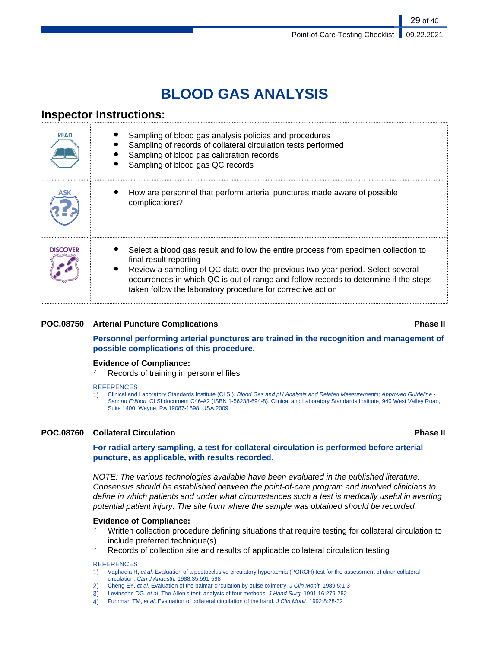# **BLOOD GAS ANALYSIS**

# **Inspector Instructions:**

| <b>READ</b>     | Sampling of blood gas analysis policies and procedures<br>Sampling of records of collateral circulation tests performed<br>Sampling of blood gas calibration records<br>Sampling of blood gas QC records                                                                                                                                               |
|-----------------|--------------------------------------------------------------------------------------------------------------------------------------------------------------------------------------------------------------------------------------------------------------------------------------------------------------------------------------------------------|
|                 | How are personnel that perform arterial punctures made aware of possible<br>complications?                                                                                                                                                                                                                                                             |
| <b>DISCOVER</b> | Select a blood gas result and follow the entire process from specimen collection to<br>final result reporting<br>Review a sampling of QC data over the previous two-year period. Select several<br>occurrences in which QC is out of range and follow records to determine if the steps<br>taken follow the laboratory procedure for corrective action |

### **POC.08750 Arterial Puncture Complications Phase II**

**Personnel performing arterial punctures are trained in the recognition and management of possible complications of this procedure.**

### **Evidence of Compliance:**

Records of training in personnel files

#### **REFERENCES**

1) Clinical and Laboratory Standards Institute (CLSI). Blood Gas and pH Analysis and Related Measurements; Approved Guideline -Second Edition. CLSI document C46-A2 (ISBN 1-56238-694-8). Clinical and Laboratory Standards Institute, 940 West Valley Road, Suite 1400, Wayne, PA 19087-1898, USA 2009.

### **POC.08760 Collateral Circulation Phase II**

#### **For radial artery sampling, a test for collateral circulation is performed before arterial puncture, as applicable, with results recorded.**

NOTE: The various technologies available have been evaluated in the published literature. Consensus should be established between the point-of-care program and involved clinicians to define in which patients and under what circumstances such a test is medically useful in averting potential patient injury. The site from where the sample was obtained should be recorded.

#### **Evidence of Compliance:**

- Written collection procedure defining situations that require testing for collateral circulation to include preferred technique(s)
- Records of collection site and results of applicable collateral circulation testing

- 1) Vaghadia H, et al. Evaluation of a postocclusive circulatory hyperaemia (PORCH) test for the assessment of ulnar collateral circulation. Can J Anaesth. 1988;35:591-598
- 2) Cheng EY, et al. Evaluation of the palmar circulation by pulse oximetry. J Clin Monit. 1989;5:1-3
- 3) Levinsohn DG, et al. The Allen's test: analysis of four methods. J Hand Surg. 1991;16:279-282
- 4) Fuhrman TM, et al. Evaluation of collateral circulation of the hand. J Clin Monit. 1992;8:28-32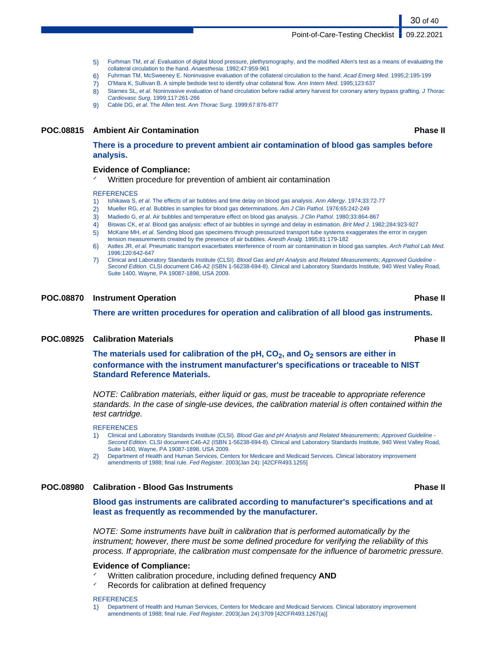#### Point-of-Care-Testing Checklist | 09.22.2021

- 5) Furhman TM, et al. Evaluation of digital blood pressure, plethysmography, and the modified Allen's test as a means of evaluating the collateral circulation to the hand. Anaesthesia. 1992;47:959-961
- 6) Fuhrman TM, McSweeney E. Noninvasive evaluation of the collateral circulation to the hand. Acad Emerg Med. 1995;2:195-199
- 7) O'Mara K, Sullivan B. A simple bedside test to identify ulnar collateral flow. Ann Intern Med. 1995;123:637
- 8) Starnes SL, et al. Noninvasive evaluation of hand circulation before radial artery harvest for coronary artery bypass grafting. J Thorac Cardiovasc Surg. 1999;117:261-266
- 9) Cable DG, et al. The Allen test. Ann Thorac Surg. 1999;67:876-877

#### **POC.08815 Ambient Air Contamination Phase II**

**There is a procedure to prevent ambient air contamination of blood gas samples before analysis.**

#### **Evidence of Compliance:**

Written procedure for prevention of ambient air contamination

#### **REFERENCES**

- 1) Ishikawa S, et al. The effects of air bubbles and time delay on blood gas analysis. Ann Allergy. 1974;33:72-77
- 2) Mueller RG, et al. Bubbles in samples for blood gas determinations. Am J Clin Pathol. 1976;65:242-249
- 3) Madiedo G, et al. Air bubbles and temperature effect on blood gas analysis. J Clin Pathol. 1980;33:864-867
- 4) Biswas CK, et al. Blood gas analysis: effect of air bubbles in syringe and delay in estimation. Brit Med J. 1982;284:923-927
- 5) McKane MH, et al. Sending blood gas specimens through pressurized transport tube systems exaggerates the error in oxygen tension measurements created by the presence of air bubbles. Anesth Analg. 1995;81:179-182
- 6) Astles JR, et al. Pneumatic transport exacerbates interference of room air contamination in blood gas samples. Arch Pathol Lab Med. 1996;120:642-647
- 7) Clinical and Laboratory Standards Institute (CLSI). Blood Gas and pH Analysis and Related Measurements; Approved Guideline -Second Edition. CLSI document C46-A2 (ISBN 1-56238-694-8). Clinical and Laboratory Standards Institute, 940 West Valley Road, Suite 1400, Wayne, PA 19087-1898, USA 2009.

#### **POC.08870 Instrument Operation Phase II**

**There are written procedures for operation and calibration of all blood gas instruments.**

#### **POC.08925 Calibration Materials Phase II**

**The materials used for calibration of the pH, CO2, and O2 sensors are either in conformance with the instrument manufacturer's specifications or traceable to NIST Standard Reference Materials.**

NOTE: Calibration materials, either liquid or gas, must be traceable to appropriate reference standards. In the case of single-use devices, the calibration material is often contained within the test cartridge.

#### REFERENCES

- 1) Clinical and Laboratory Standards Institute (CLSI). Blood Gas and pH Analysis and Related Measurements; Approved Guideline Second Edition. CLSI document C46-A2 (ISBN 1-56238-694-8). Clinical and Laboratory Standards Institute, 940 West Valley Road, Suite 1400, Wayne, PA 19087-1898, USA 2009.
- 2) Department of Health and Human Services, Centers for Medicare and Medicaid Services. Clinical laboratory improvement amendments of 1988; final rule. Fed Register. 2003(Jan 24): [42CFR493.1255]

#### **POC.08980 Calibration - Blood Gas Instruments Phase II**

**Blood gas instruments are calibrated according to manufacturer's specifications and at least as frequently as recommended by the manufacturer.**

NOTE: Some instruments have built in calibration that is performed automatically by the instrument; however, there must be some defined procedure for verifying the reliability of this process. If appropriate, the calibration must compensate for the influence of barometric pressure.

#### **Evidence of Compliance:**

- ✓ Written calibration procedure, including defined frequency **AND**
- Records for calibration at defined frequency

#### **REFERENCES**

1) Department of Health and Human Services, Centers for Medicare and Medicaid Services. Clinical laboratory improvement amendments of 1988; final rule. Fed Register. 2003(Jan 24):3709 [42CFR493.1267(a)]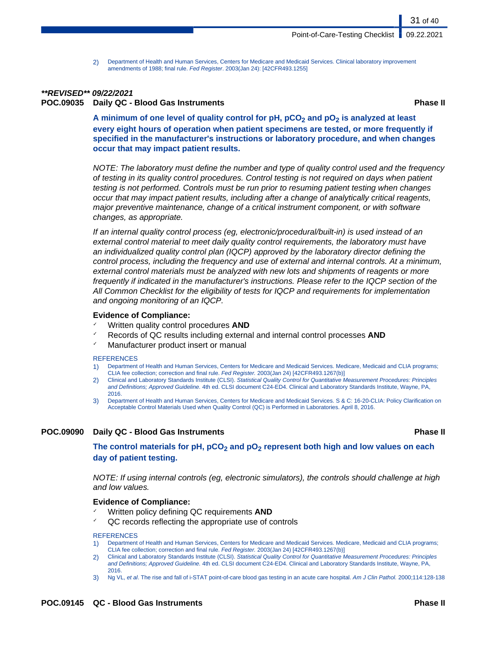2) Department of Health and Human Services, Centers for Medicare and Medicaid Services. Clinical laboratory improvement amendments of 1988; final rule. Fed Register. 2003(Jan 24): [42CFR493.1255]

### **\*\*REVISED\*\* 09/22/2021**

**POC.09035 Daily QC - Blood Gas Instruments Phase II**

31 of 40

**A minimum of one level of quality control for pH, pCO2 and pO2 is analyzed at least every eight hours of operation when patient specimens are tested, or more frequently if specified in the manufacturer's instructions or laboratory procedure, and when changes occur that may impact patient results.**

NOTE: The laboratory must define the number and type of quality control used and the frequency of testing in its quality control procedures. Control testing is not required on days when patient testing is not performed. Controls must be run prior to resuming patient testing when changes occur that may impact patient results, including after a change of analytically critical reagents, major preventive maintenance, change of a critical instrument component, or with software changes, as appropriate.

If an internal quality control process (eg, electronic/procedural/built-in) is used instead of an external control material to meet daily quality control requirements, the laboratory must have an individualized quality control plan (IQCP) approved by the laboratory director defining the control process, including the frequency and use of external and internal controls. At a minimum, external control materials must be analyzed with new lots and shipments of reagents or more frequently if indicated in the manufacturer's instructions. Please refer to the IQCP section of the All Common Checklist for the eligibility of tests for IQCP and requirements for implementation and ongoing monitoring of an IQCP.

#### **Evidence of Compliance:**

- Written quality control procedures **AND**
- Records of QC results including external and internal control processes **AND**
- Manufacturer product insert or manual

#### **REFERENCES**

- 1) Department of Health and Human Services, Centers for Medicare and Medicaid Services. Medicare, Medicaid and CLIA programs; CLIA fee collection; correction and final rule. Fed Register. 2003(Jan 24) [42CFR493.1267(b)]
- 2) Clinical and Laboratory Standards Institute (CLSI). Statistical Quality Control for Quantitative Measurement Procedures: Principles and Definitions; Approved Guideline. 4th ed. CLSI document C24-ED4. Clinical and Laboratory Standards Institute, Wayne, PA, 2016.
- 3) Department of Health and Human Services, Centers for Medicare and Medicaid Services. S & C: 16-20-CLIA: Policy Clarification on Acceptable Control Materials Used when Quality Control (QC) is Performed in Laboratories. April 8, 2016.

### **POC.09090 Daily QC - Blood Gas Instruments Phase II**

**The control materials for pH, pCO2 and pO2 represent both high and low values on each day of patient testing.**

NOTE: If using internal controls (eg, electronic simulators), the controls should challenge at high and low values.

#### **Evidence of Compliance:**

- Written policy defining QC requirements **AND**
- QC records reflecting the appropriate use of controls

- 1) Department of Health and Human Services, Centers for Medicare and Medicaid Services. Medicare, Medicaid and CLIA programs; CLIA fee collection; correction and final rule. Fed Register. 2003(Jan 24) [42CFR493.1267(b)]
- 2) Clinical and Laboratory Standards Institute (CLSI). Statistical Quality Control for Quantitative Measurement Procedures: Principles and Definitions; Approved Guideline. 4th ed. CLSI document C24-ED4. Clinical and Laboratory Standards Institute, Wayne, PA, 2016.
- 3) Ng VL, et al. The rise and fall of i-STAT point-of-care blood gas testing in an acute care hospital. Am J Clin Pathol. 2000;114:128-138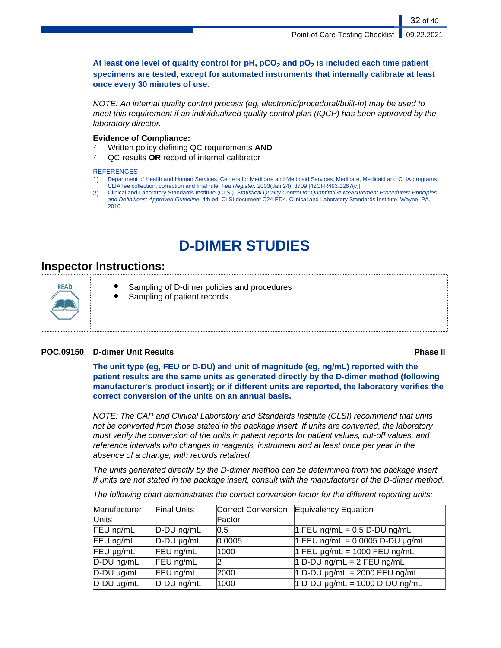### **At least one level of quality control for pH, pCO2 and pO2 is included each time patient specimens are tested, except for automated instruments that internally calibrate at least once every 30 minutes of use.**

NOTE: An internal quality control process (eg, electronic/procedural/built-in) may be used to meet this requirement if an individualized quality control plan (IQCP) has been approved by the laboratory director.

### **Evidence of Compliance:**

- ✓ Written policy defining QC requirements **AND**
- ✓ QC results **OR** record of internal calibrator

### **REFERENCES**

- 1) Department of Health and Human Services, Centers for Medicare and Medicaid Services. Medicare, Medicaid and CLIA programs; CLIA fee collection; correction and final rule. Fed Register. 2003(Jan 24): 3709 [42CFR493.1267(c)]
- 2) Clinical and Laboratory Standards Institute (CLSI). Statistical Quality Control for Quantitative Measurement Procedures: Principles and Definitions; Approved Guideline. 4th ed. CLSI document C24-ED4. Clinical and Laboratory Standards Institute, Wayne, PA, 2016.

# **D-DIMER STUDIES**

# **Inspector Instructions:**

RFAD

- Sampling of D-dimer policies and procedures
- Sampling of patient records

### **POC.09150 D-dimer Unit Results Phase II**

**The unit type (eg, FEU or D-DU) and unit of magnitude (eg, ng/mL) reported with the patient results are the same units as generated directly by the D-dimer method (following manufacturer's product insert); or if different units are reported, the laboratory verifies the correct conversion of the units on an annual basis.**

NOTE: The CAP and Clinical Laboratory and Standards Institute (CLSI) recommend that units not be converted from those stated in the package insert. If units are converted, the laboratory must verify the conversion of the units in patient reports for patient values, cut-off values, and reference intervals with changes in reagents, instrument and at least once per year in the absence of a change, with records retained.

The units generated directly by the D-dimer method can be determined from the package insert. If units are not stated in the package insert, consult with the manufacturer of the D-dimer method.

The following chart demonstrates the correct conversion factor for the different reporting units:

| Manufacturer    | <b>Final Units</b> |        | Correct Conversion Equivalency Equation |
|-----------------|--------------------|--------|-----------------------------------------|
| Units           |                    | Factor |                                         |
| FEU ng/mL       | $D$ -DU ng/mL      | 10.5   | 1 FEU ng/mL = $0.5$ D-DU ng/mL          |
| FEU ng/mL       | $D$ -DU $\mu$ g/mL | 0.0005 | 1 FEU ng/mL = $0.0005$ D-DU $\mu$ g/mL  |
| FEU µg/mL       | FEU ng/mL          | 1000   | 1 FEU $\mu$ g/mL = 1000 FEU ng/mL       |
| $D-DU$ ng/mL    | FEU ng/mL          |        | 1 D-DU ng/mL = $2$ FEU ng/mL            |
| $D-DU \mu g/mL$ | FEU ng/mL          | 2000   | $1 D-DU \mu g/mL = 2000 FEU ng/mL$      |
| D-DU µg/mL      | D-DU ng/mL         | 1000   | 1 D-DU $\mu$ g/mL = 1000 D-DU ng/mL     |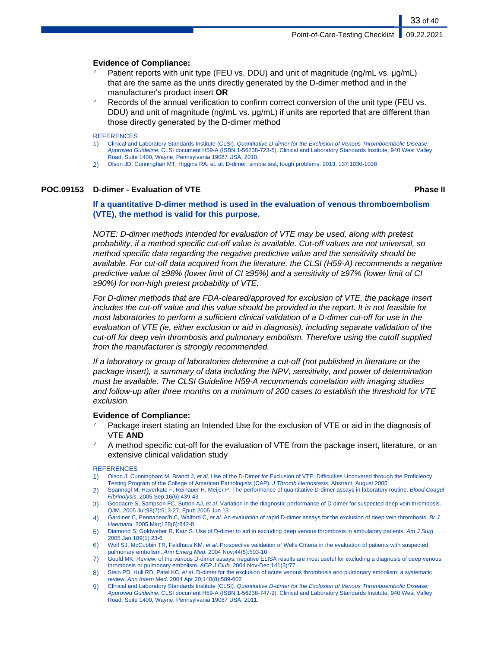#### **Evidence of Compliance:**

- Patient reports with unit type (FEU vs. DDU) and unit of magnitude (ng/mL vs. µg/mL) that are the same as the units directly generated by the D-dimer method and in the manufacturer's product insert **OR**
- Records of the annual verification to confirm correct conversion of the unit type (FEU vs. DDU) and unit of magnitude (ng/mL vs.  $\mu$ g/mL) if units are reported that are different than those directly generated by the D-dimer method

#### REFERENCES

- 1) Clinical and Laboratory Standards Institute (CLSI). Quantitative D-dimer for the Exclusion of Venous Thromboembolic Disease; Approved Guideline. CLSI document H59-A (ISBN 1-56238-723-5). Clinical and Laboratory Standards Institute, 940 West Valley Road, Suite 1400, Wayne, Pennsylvania 19087 USA, 2010.
- 2) Olson JD, Cunninghan MT, Higgins RA, et. al. D-dimer: simple test, tough problems. 2013; 137:1030-1038

#### **POC.09153 D-dimer - Evaluation of VTE Phase II**

33 of 40

### **If a quantitative D-dimer method is used in the evaluation of venous thromboembolism (VTE), the method is valid for this purpose.**

NOTE: D-dimer methods intended for evaluation of VTE may be used, along with pretest probability, if a method specific cut-off value is available. Cut-off values are not universal, so method specific data regarding the negative predictive value and the sensitivity should be available. For cut-off data acquired from the literature, the CLSI (H59-A) recommends a negative predictive value of *≥*98% (lower limit of CI *≥*95%) and a sensitivity of *≥*97% (lower limit of CI *≥*90%) for non-high pretest probability of VTE.

For D-dimer methods that are FDA-cleared/approved for exclusion of VTE, the package insert includes the cut-off value and this value should be provided in the report. It is not feasible for most laboratories to perform a sufficient clinical validation of a D-dimer cut-off for use in the evaluation of VTE (ie, either exclusion or aid in diagnosis), including separate validation of the cut-off for deep vein thrombosis and pulmonary embolism. Therefore using the cutoff supplied from the manufacturer is strongly recommended.

If a laboratory or group of laboratories determine a cut-off (not published in literature or the package insert), a summary of data including the NPV, sensitivity, and power of determination must be available. The CLSI Guideline H59-A recommends correlation with imaging studies and follow-up after three months on a minimum of 200 cases to establish the threshold for VTE exclusion.

#### **Evidence of Compliance:**

- Package insert stating an Intended Use for the exclusion of VTE or aid in the diagnosis of VTE **AND**
- A method specific cut-off for the evaluation of VTE from the package insert, literature, or an extensive clinical validation study

- 1) Olson J, Cunningham M, Brandt J, et al. Use of the D-Dimer for Exclusion of VTE: Difficulties Uncovered through the Proficiency Testing Program of the College of American Pathologists (CAP). J Thromb Hemostasis, Abstract, August 2005
- 2) Spannagl M, Haverkate F, Reinauer H, Meijer P. The performance of quantitative D-dimer assays in laboratory routine. Blood Coagul Fibrinolysis. 2005 Sep;16(6):439-43
- 3) Goodacre S, Sampson FC, Sutton AJ, et al. Variation in the diagnostic performance of D-dimer for suspected deep vein thrombosis. QJM. 2005 Jul;98(7):513-27. Epub 2005 Jun 13
- 4) Gardiner C, Pennaneac'h C, Walford C, et al. An evaluation of rapid D-dimer assays for the exclusion of deep vein thrombosis. Br J Haematol. 2005 Mar;128(6):842-8
- 5) Diamond S, Goldweber R, Katz S. Use of D-dimer to aid in excluding deep venous thrombosis in ambulatory patients. Am J Surg. 2005 Jan;189(1):23-6
- 6) Wolf SJ, McCubbin TR, Feldhaus KM, et al. Prospective validation of Wells Criteria in the evaluation of patients with suspected pulmonary embolism. Ann Emerg Med. 2004 Nov;44(5):503-10
- 7) Gould MK. Review: of the various D-dimer assays, negative ELISA results are most useful for excluding a diagnosis of deep venous thrombosis or pulmonary embolism. ACP J Club. 2004 Nov-Dec;141(3):77
- 8) Stein PD, Hull RD, Patel KC, et al. D-dimer for the exclusion of acute venous thrombosis and pulmonary embolism: a systematic review. Ann Intern Med. 2004 Apr 20;140(8):589-602
- 9) Clinical and Laboratory Standards Institute (CLSI). Quantitative D-dimer for the Exclusion of Venous Thromboembolic Disease; Approved Guideline. CLSI document H59-A (ISBN 1-56238-747-2). Clinical and Laboratory Standards Institute, 940 West Valley Road, Suite 1400, Wayne, Pennsylvania 19087 USA, 2011.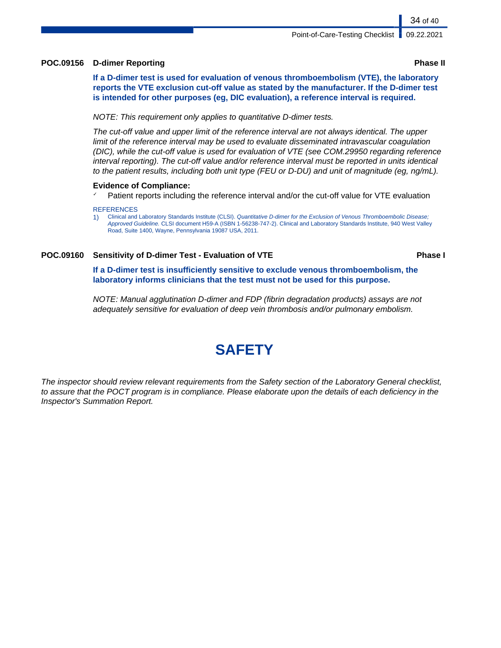### **POC.09156 D-dimer Reporting Phase II**

**If a D-dimer test is used for evaluation of venous thromboembolism (VTE), the laboratory reports the VTE exclusion cut-off value as stated by the manufacturer. If the D-dimer test is intended for other purposes (eg, DIC evaluation), a reference interval is required.**

NOTE: This requirement only applies to quantitative D-dimer tests.

The cut-off value and upper limit of the reference interval are not always identical. The upper limit of the reference interval may be used to evaluate disseminated intravascular coagulation (DIC), while the cut-off value is used for evaluation of VTE (see COM.29950 regarding reference interval reporting). The cut-off value and/or reference interval must be reported in units identical to the patient results, including both unit type (FEU or D-DU) and unit of magnitude (eg, ng/mL).

#### **Evidence of Compliance:**

 $\checkmark$  Patient reports including the reference interval and/or the cut-off value for VTE evaluation

#### **REFERENCES**

1) Clinical and Laboratory Standards Institute (CLSI). Quantitative D-dimer for the Exclusion of Venous Thromboembolic Disease; Approved Guideline. CLSI document H59-A (ISBN 1-56238-747-2). Clinical and Laboratory Standards Institute, 940 West Valley Road, Suite 1400, Wayne, Pennsylvania 19087 USA, 2011.

### **POC.09160 Sensitivity of D-dimer Test - Evaluation of VTE Phase I**

**If a D-dimer test is insufficiently sensitive to exclude venous thromboembolism, the laboratory informs clinicians that the test must not be used for this purpose.**

NOTE: Manual agglutination D-dimer and FDP (fibrin degradation products) assays are not adequately sensitive for evaluation of deep vein thrombosis and/or pulmonary embolism.

# **SAFETY**

The inspector should review relevant requirements from the Safety section of the Laboratory General checklist, to assure that the POCT program is in compliance. Please elaborate upon the details of each deficiency in the Inspector's Summation Report.

34 of 40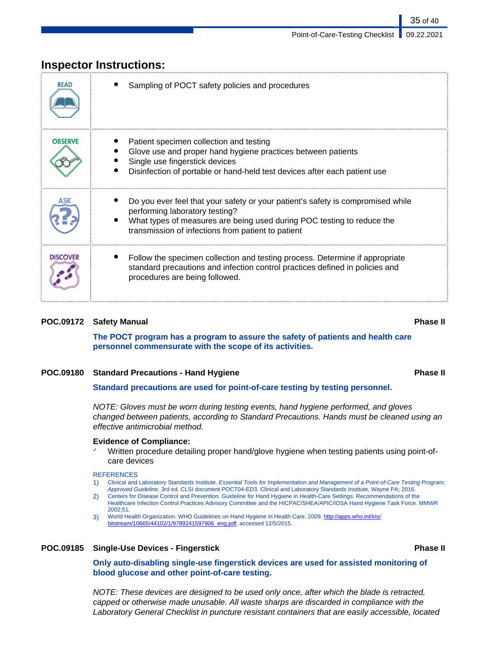| <b>READ</b>     | Sampling of POCT safety policies and procedures                                                                                                                                                                                                   |
|-----------------|---------------------------------------------------------------------------------------------------------------------------------------------------------------------------------------------------------------------------------------------------|
| <b>OBSERVE</b>  | Patient specimen collection and testing<br>Glove use and proper hand hygiene practices between patients<br>Single use fingerstick devices<br>Disinfection of portable or hand-held test devices after each patient use                            |
|                 | Do you ever feel that your safety or your patient's safety is compromised while<br>performing laboratory testing?<br>What types of measures are being used during POC testing to reduce the<br>transmission of infections from patient to patient |
| <b>DISCOVER</b> | Follow the specimen collection and testing process. Determine if appropriate<br>standard precautions and infection control practices defined in policies and<br>procedures are being followed.                                                    |

## **Inspector Instructions:**

#### **POC.09172 Safety Manual Phase II**

**The POCT program has a program to assure the safety of patients and health care personnel commensurate with the scope of its activities.**

#### **POC.09180 Standard Precautions - Hand Hygiene Phase II**

**Standard precautions are used for point-of-care testing by testing personnel.**

NOTE: Gloves must be worn during testing events, hand hygiene performed, and gloves changed between patients, according to Standard Precautions. Hands must be cleaned using an effective antimicrobial method.

#### **Evidence of Compliance:**

 $\checkmark$  Written procedure detailing proper hand/glove hygiene when testing patients using point-ofcare devices

#### **REFERENCES**

1) Clinical and Laboratory Standards Institute. Essential Tools for Implementation and Management of a Point-of-Care Testing Program; Approved Guideline. 3rd ed. CLSI document POCT04-ED3. Clinical and Laboratory Standards Institute, Wayne PA; 2016.

- 2) Centers for Disease Control and Prevention. Guideline for Hand Hygiene in Health-Care Settings: Recommendations of the Healthcare Infection Control Practices Advisory Committee and the HICPAC/SHEA/APIC/IDSA Hand Hygiene Task Force. MMWR 2002;51.
- 3) World Health Organization. WHO Guidelines on Hand Hygiene in Health Care, 2009. [http://apps.who.int/iris/](http://apps.who.int/iris/bitstream/10665/44102/1/9789241597906_eng.pdf) [bitstream/10665/44102/1/9789241597906\\_eng.pdf,](http://apps.who.int/iris/bitstream/10665/44102/1/9789241597906_eng.pdf) accessed 12/5/2015.

#### **POC.09185 Single-Use Devices - Fingerstick Phase II**

**Only auto-disabling single-use fingerstick devices are used for assisted monitoring of blood glucose and other point-of-care testing.**

NOTE: These devices are designed to be used only once, after which the blade is retracted, capped or otherwise made unusable. All waste sharps are discarded in compliance with the Laboratory General Checklist in puncture resistant containers that are easily accessible, located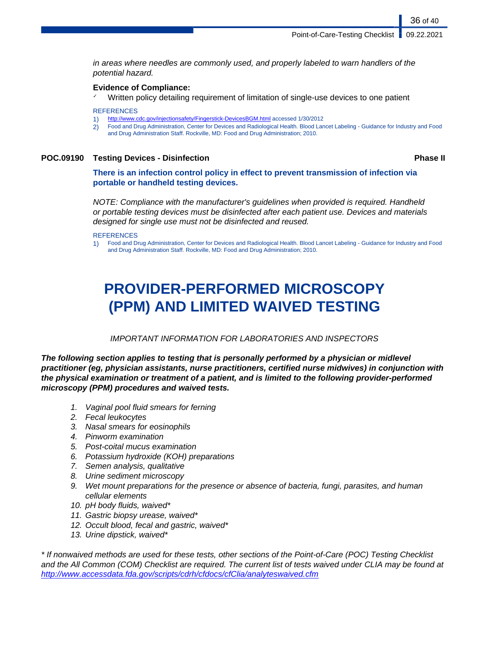in areas where needles are commonly used, and properly labeled to warn handlers of the potential hazard.

#### **Evidence of Compliance:**

Written policy detailing requirement of limitation of single-use devices to one patient

**REFERENCES** 

- 1) <http://www.cdc.gov/injectionsafety/Fingerstick-DevicesBGM.html>accessed 1/30/2012
- 2) Food and Drug Administration, Center for Devices and Radiological Health. Blood Lancet Labeling Guidance for Industry and Food and Drug Administration Staff. Rockville, MD: Food and Drug Administration; 2010.

### **POC.09190 Testing Devices - Disinfection Phase II**

36 of 40

**There is an infection control policy in effect to prevent transmission of infection via portable or handheld testing devices.**

NOTE: Compliance with the manufacturer's guidelines when provided is required. Handheld or portable testing devices must be disinfected after each patient use. Devices and materials designed for single use must not be disinfected and reused.

**REFERENCES** 

1) Food and Drug Administration, Center for Devices and Radiological Health. Blood Lancet Labeling - Guidance for Industry and Food and Drug Administration Staff. Rockville, MD: Food and Drug Administration; 2010.

# **PROVIDER-PERFORMED MICROSCOPY (PPM) AND LIMITED WAIVED TESTING**

### IMPORTANT INFORMATION FOR LABORATORIES AND INSPECTORS

**The following section applies to testing that is personally performed by a physician or midlevel practitioner (eg, physician assistants, nurse practitioners, certified nurse midwives) in conjunction with the physical examination or treatment of a patient, and is limited to the following provider-performed microscopy (PPM) procedures and waived tests.**

- 1. Vaginal pool fluid smears for ferning
- 2. Fecal leukocytes
- 3. Nasal smears for eosinophils
- 4. Pinworm examination
- 5. Post-coital mucus examination
- 6. Potassium hydroxide (KOH) preparations
- 7. Semen analysis, qualitative
- 8. Urine sediment microscopy
- 9. Wet mount preparations for the presence or absence of bacteria, fungi, parasites, and human cellular elements
- 10. pH body fluids, waived\*
- 11. Gastric biopsy urease, waived\*
- 12. Occult blood, fecal and gastric, waived\*
- 13. Urine dipstick, waived\*

\* If nonwaived methods are used for these tests, other sections of the Point-of-Care (POC) Testing Checklist and the All Common (COM) Checklist are required. The current list of tests waived under CLIA may be found at <http://www.accessdata.fda.gov/scripts/cdrh/cfdocs/cfClia/analyteswaived.cfm>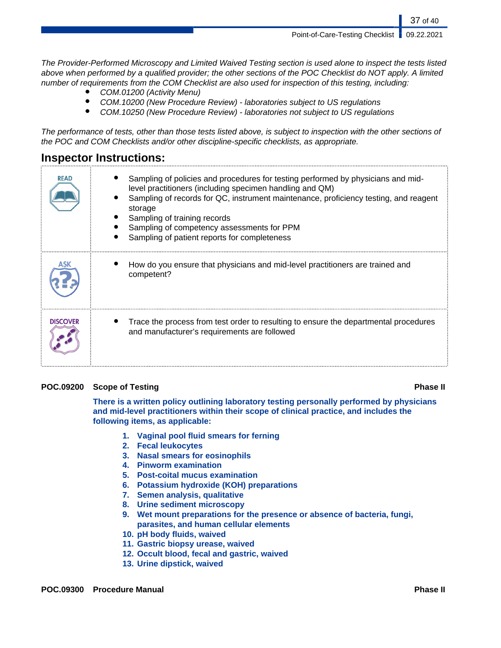Point-of-Care-Testing Checklist | 09.22.2021

37 of 40

The Provider-Performed Microscopy and Limited Waived Testing section is used alone to inspect the tests listed above when performed by a qualified provider; the other sections of the POC Checklist do NOT apply. A limited number of requirements from the COM Checklist are also used for inspection of this testing, including:

- COM.01200 (Activity Menu)
- COM.10200 (New Procedure Review) laboratories subject to US regulations
- COM.10250 (New Procedure Review) laboratories not subject to US regulations

The performance of tests, other than those tests listed above, is subject to inspection with the other sections of the POC and COM Checklists and/or other discipline-specific checklists, as appropriate.

## **Inspector Instructions:**

| <b>READ</b>     | Sampling of policies and procedures for testing performed by physicians and mid-<br>level practitioners (including specimen handling and QM)<br>Sampling of records for QC, instrument maintenance, proficiency testing, and reagent<br>storage<br>Sampling of training records<br>Sampling of competency assessments for PPM<br>Sampling of patient reports for completeness |
|-----------------|-------------------------------------------------------------------------------------------------------------------------------------------------------------------------------------------------------------------------------------------------------------------------------------------------------------------------------------------------------------------------------|
|                 | How do you ensure that physicians and mid-level practitioners are trained and<br>competent?                                                                                                                                                                                                                                                                                   |
| <b>DISCOVER</b> | Trace the process from test order to resulting to ensure the departmental procedures<br>and manufacturer's requirements are followed                                                                                                                                                                                                                                          |

### **POC.09200 Scope of Testing Phase II**

**There is a written policy outlining laboratory testing personally performed by physicians and mid-level practitioners within their scope of clinical practice, and includes the following items, as applicable:**

- **1. Vaginal pool fluid smears for ferning**
- **2. Fecal leukocytes**
- **3. Nasal smears for eosinophils**
- **4. Pinworm examination**
- **5. Post-coital mucus examination**
- **6. Potassium hydroxide (KOH) preparations**
- **7. Semen analysis, qualitative**
- **8. Urine sediment microscopy**
- **9. Wet mount preparations for the presence or absence of bacteria, fungi, parasites, and human cellular elements**
- **10. pH body fluids, waived**
- **11. Gastric biopsy urease, waived**
- **12. Occult blood, fecal and gastric, waived**
- **13. Urine dipstick, waived**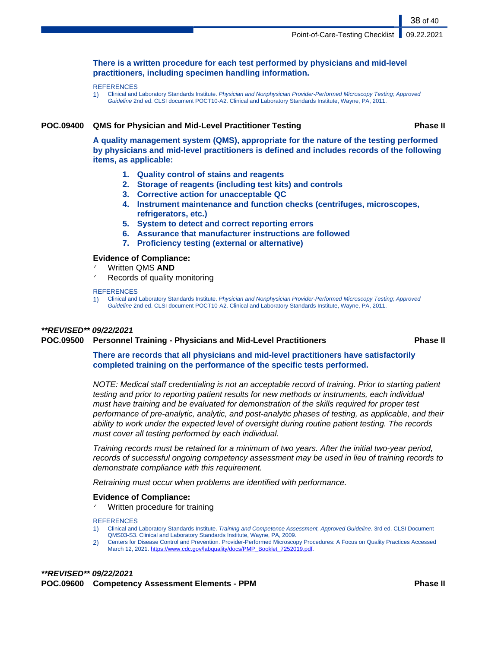#### **There is a written procedure for each test performed by physicians and mid-level practitioners, including specimen handling information.**

#### **REFERENCES**

1) Clinical and Laboratory Standards Institute. Physician and Nonphysician Provider-Performed Microscopy Testing; Approved Guideline 2nd ed. CLSI document POCT10-A2. Clinical and Laboratory Standards Institute, Wayne, PA, 2011.

#### **POC.09400 QMS for Physician and Mid-Level Practitioner Testing Phase II**

38 of 40

**A quality management system (QMS), appropriate for the nature of the testing performed by physicians and mid-level practitioners is defined and includes records of the following items, as applicable:**

- **1. Quality control of stains and reagents**
- **2. Storage of reagents (including test kits) and controls**
- **3. Corrective action for unacceptable QC**
- **4. Instrument maintenance and function checks (centrifuges, microscopes, refrigerators, etc.)**
- **5. System to detect and correct reporting errors**
- **6. Assurance that manufacturer instructions are followed**
- **7. Proficiency testing (external or alternative)**

#### **Evidence of Compliance:**

- ✓ Written QMS **AND**
- Records of quality monitoring

#### **REFERENCES**

1) Clinical and Laboratory Standards Institute. Physician and Nonphysician Provider-Performed Microscopy Testing; Approved Guideline 2nd ed. CLSI document POCT10-A2. Clinical and Laboratory Standards Institute, Wayne, PA, 2011.

### **\*\*REVISED\*\* 09/22/2021**

### **POC.09500 Personnel Training - Physicians and Mid-Level Practitioners Phase II**

**There are records that all physicians and mid-level practitioners have satisfactorily completed training on the performance of the specific tests performed.**

NOTE: Medical staff credentialing is not an acceptable record of training. Prior to starting patient testing and prior to reporting patient results for new methods or instruments, each individual must have training and be evaluated for demonstration of the skills required for proper test performance of pre-analytic, analytic, and post-analytic phases of testing, as applicable, and their ability to work under the expected level of oversight during routine patient testing. The records must cover all testing performed by each individual.

Training records must be retained for a minimum of two years. After the initial two-year period, records of successful ongoing competency assessment may be used in lieu of training records to demonstrate compliance with this requirement.

Retraining must occur when problems are identified with performance.

#### **Evidence of Compliance:**

 $\checkmark$  Written procedure for training

- 1) Clinical and Laboratory Standards Institute. Training and Competence Assessment, Approved Guideline. 3rd ed. CLSI Document QMS03-S3. Clinical and Laboratory Standards Institute, Wayne, PA, 2009.
- 2) Centers for Disease Control and Prevention. Provider-Performed Microscopy Procedures: A Focus on Quality Practices Accessed March 12, 2021. [https://www.cdc.gov/labquality/docs/PMP\\_Booklet\\_7252019.pdf.](#page-0-0)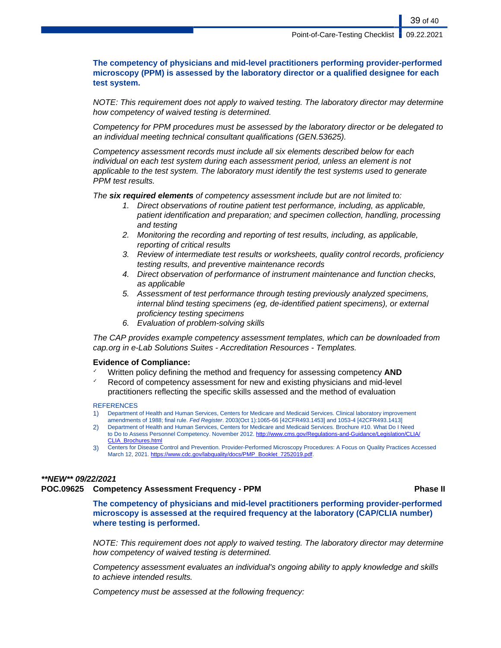### **The competency of physicians and mid-level practitioners performing provider-performed microscopy (PPM) is assessed by the laboratory director or a qualified designee for each test system.**

NOTE: This requirement does not apply to waived testing. The laboratory director may determine how competency of waived testing is determined.

Competency for PPM procedures must be assessed by the laboratory director or be delegated to an individual meeting technical consultant qualifications (GEN.53625).

Competency assessment records must include all six elements described below for each individual on each test system during each assessment period, unless an element is not applicable to the test system. The laboratory must identify the test systems used to generate PPM test results.

The **six required elements** of competency assessment include but are not limited to:

- 1. Direct observations of routine patient test performance, including, as applicable, patient identification and preparation; and specimen collection, handling, processing and testing
- 2. Monitoring the recording and reporting of test results, including, as applicable, reporting of critical results
- 3. Review of intermediate test results or worksheets, quality control records, proficiency testing results, and preventive maintenance records
- 4. Direct observation of performance of instrument maintenance and function checks, as applicable
- 5. Assessment of test performance through testing previously analyzed specimens, internal blind testing specimens (eg, de-identified patient specimens), or external proficiency testing specimens
- 6. Evaluation of problem-solving skills

The CAP provides example competency assessment templates, which can be downloaded from cap.org in e-Lab Solutions Suites - Accreditation Resources - Templates.

#### **Evidence of Compliance:**

- Written policy defining the method and frequency for assessing competency **AND**
- Record of competency assessment for new and existing physicians and mid-level practitioners reflecting the specific skills assessed and the method of evaluation

#### **REFERENCES**

- 1) Department of Health and Human Services, Centers for Medicare and Medicaid Services. Clinical laboratory improvement amendments of 1988; final rule. Fed Register. 2003(Oct 1):1065-66 [42CFR493.1453] and 1053-4 [42CFR493.1413]
- 2) Department of Health and Human Services, Centers for Medicare and Medicaid Services. Brochure #10. What Do I Need to Do to Assess Personnel Competency. November 2012. [http://www.cms.gov/Regulations-and-Guidance/Legislation/CLIA/](http://www.cms.gov/Regulations-and-Guidance/Legislation/CLIA/CLIA_Brochures.html) [CLIA\\_Brochures.html](http://www.cms.gov/Regulations-and-Guidance/Legislation/CLIA/CLIA_Brochures.html)
- 3) Centers for Disease Control and Prevention. Provider-Performed Microscopy Procedures: A Focus on Quality Practices Accessed March 12, 2021. [https://www.cdc.gov/labquality/docs/PMP\\_Booklet\\_7252019.pdf.](#page-0-0)

### **\*\*NEW\*\* 09/22/2021**

### **POC.09625 Competency Assessment Frequency - PPM Phase II**

**The competency of physicians and mid-level practitioners performing provider-performed microscopy is assessed at the required frequency at the laboratory (CAP/CLIA number) where testing is performed.**

NOTE: This requirement does not apply to waived testing. The laboratory director may determine how competency of waived testing is determined.

Competency assessment evaluates an individual's ongoing ability to apply knowledge and skills to achieve intended results.

Competency must be assessed at the following frequency: